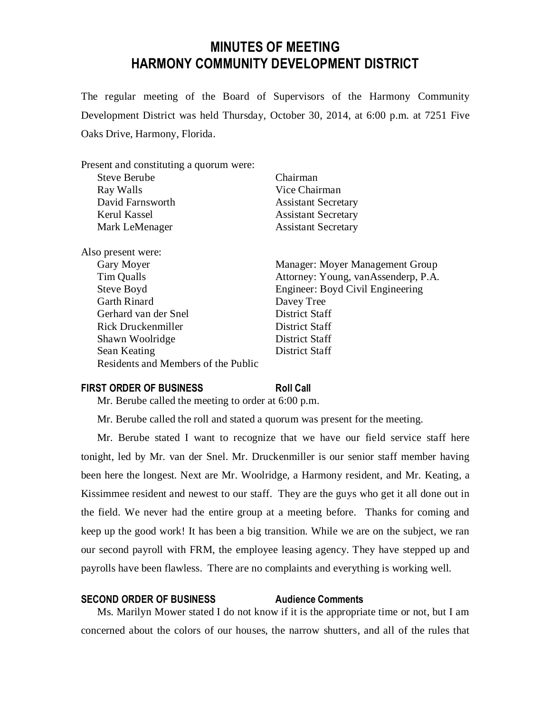# **MINUTES OF MEETING HARMONY COMMUNITY DEVELOPMENT DISTRICT**

The regular meeting of the Board of Supervisors of the Harmony Community Development District was held Thursday, October 30, 2014, at 6:00 p.m. at 7251 Five Oaks Drive, Harmony, Florida.

| Present and constituting a quorum were: |                                     |
|-----------------------------------------|-------------------------------------|
| <b>Steve Berube</b>                     | Chairman                            |
| Ray Walls                               | Vice Chairman                       |
| David Farnsworth                        | <b>Assistant Secretary</b>          |
| Kerul Kassel                            | <b>Assistant Secretary</b>          |
| Mark LeMenager                          | <b>Assistant Secretary</b>          |
| Also present were:                      |                                     |
| Gary Moyer                              | Manager: Moyer Management Group     |
| Tim Qualls                              | Attorney: Young, vanAssenderp, P.A. |
| Steve Boyd                              | Engineer: Boyd Civil Engineering    |
| <b>Garth Rinard</b>                     | Davey Tree                          |
| Gerhard van der Snel                    | <b>District Staff</b>               |
| Rick Druckenmiller                      | District Staff                      |
| Shawn Woolridge                         | District Staff                      |
| Sean Keating                            | District Staff                      |
| Residents and Members of the Public     |                                     |

### **FIRST ORDER OF BUSINESS Roll Call**

Mr. Berube called the meeting to order at 6:00 p.m.

Mr. Berube called the roll and stated a quorum was present for the meeting.

Mr. Berube stated I want to recognize that we have our field service staff here tonight, led by Mr. van der Snel. Mr. Druckenmiller is our senior staff member having been here the longest. Next are Mr. Woolridge, a Harmony resident, and Mr. Keating, a Kissimmee resident and newest to our staff. They are the guys who get it all done out in the field. We never had the entire group at a meeting before. Thanks for coming and keep up the good work! It has been a big transition. While we are on the subject, we ran our second payroll with FRM, the employee leasing agency. They have stepped up and payrolls have been flawless. There are no complaints and everything is working well.

#### **SECOND ORDER OF BUSINESS Audience Comments**

Ms. Marilyn Mower stated I do not know if it is the appropriate time or not, but I am concerned about the colors of our houses, the narrow shutters, and all of the rules that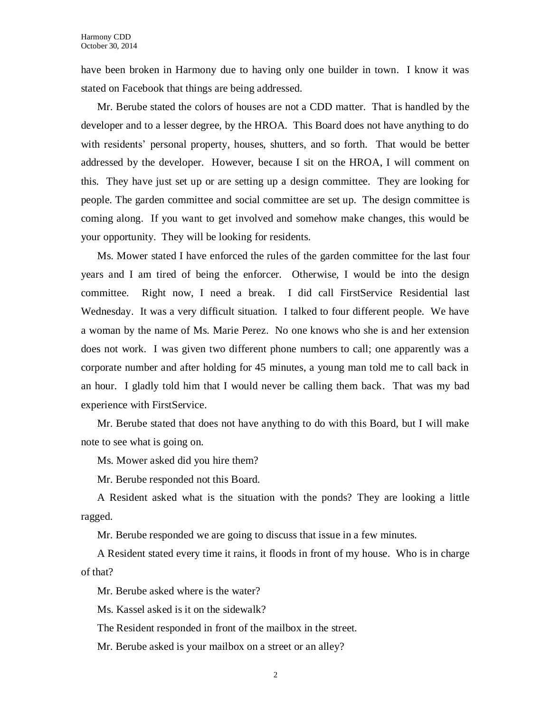have been broken in Harmony due to having only one builder in town. I know it was stated on Facebook that things are being addressed.

Mr. Berube stated the colors of houses are not a CDD matter. That is handled by the developer and to a lesser degree, by the HROA. This Board does not have anything to do with residents' personal property, houses, shutters, and so forth. That would be better addressed by the developer. However, because I sit on the HROA, I will comment on this. They have just set up or are setting up a design committee. They are looking for people. The garden committee and social committee are set up. The design committee is coming along. If you want to get involved and somehow make changes, this would be your opportunity. They will be looking for residents.

Ms. Mower stated I have enforced the rules of the garden committee for the last four years and I am tired of being the enforcer. Otherwise, I would be into the design committee. Right now, I need a break. I did call FirstService Residential last Wednesday. It was a very difficult situation. I talked to four different people. We have a woman by the name of Ms. Marie Perez. No one knows who she is and her extension does not work. I was given two different phone numbers to call; one apparently was a corporate number and after holding for 45 minutes, a young man told me to call back in an hour. I gladly told him that I would never be calling them back. That was my bad experience with FirstService.

Mr. Berube stated that does not have anything to do with this Board, but I will make note to see what is going on.

Ms. Mower asked did you hire them?

Mr. Berube responded not this Board.

A Resident asked what is the situation with the ponds? They are looking a little ragged.

Mr. Berube responded we are going to discuss that issue in a few minutes.

A Resident stated every time it rains, it floods in front of my house. Who is in charge of that?

Mr. Berube asked where is the water?

Ms. Kassel asked is it on the sidewalk?

The Resident responded in front of the mailbox in the street.

Mr. Berube asked is your mailbox on a street or an alley?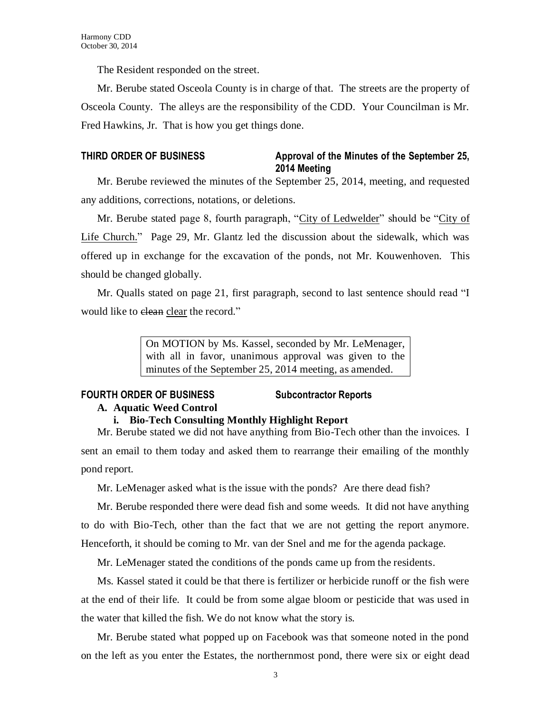The Resident responded on the street.

Mr. Berube stated Osceola County is in charge of that. The streets are the property of Osceola County. The alleys are the responsibility of the CDD. Your Councilman is Mr. Fred Hawkins, Jr. That is how you get things done.

## **THIRD ORDER OF BUSINESS Approval of the Minutes of the September 25, 2014 Meeting**

Mr. Berube reviewed the minutes of the September 25, 2014, meeting, and requested any additions, corrections, notations, or deletions.

Mr. Berube stated page 8, fourth paragraph, "City of Ledwelder" should be "City of Life Church." Page 29, Mr. Glantz led the discussion about the sidewalk, which was offered up in exchange for the excavation of the ponds, not Mr. Kouwenhoven. This should be changed globally.

Mr. Qualls stated on page 21, first paragraph, second to last sentence should read "I would like to elean clear the record."

> On MOTION by Ms. Kassel, seconded by Mr. LeMenager, with all in favor, unanimous approval was given to the minutes of the September 25, 2014 meeting, as amended.

## **FOURTH ORDER OF BUSINESS Subcontractor Reports**

## **A. Aquatic Weed Control**

## **i. Bio-Tech Consulting Monthly Highlight Report**

Mr. Berube stated we did not have anything from Bio-Tech other than the invoices. I sent an email to them today and asked them to rearrange their emailing of the monthly pond report.

Mr. LeMenager asked what is the issue with the ponds? Are there dead fish?

Mr. Berube responded there were dead fish and some weeds. It did not have anything to do with Bio-Tech, other than the fact that we are not getting the report anymore. Henceforth, it should be coming to Mr. van der Snel and me for the agenda package.

Mr. LeMenager stated the conditions of the ponds came up from the residents.

Ms. Kassel stated it could be that there is fertilizer or herbicide runoff or the fish were at the end of their life. It could be from some algae bloom or pesticide that was used in the water that killed the fish. We do not know what the story is.

Mr. Berube stated what popped up on Facebook was that someone noted in the pond on the left as you enter the Estates, the northernmost pond, there were six or eight dead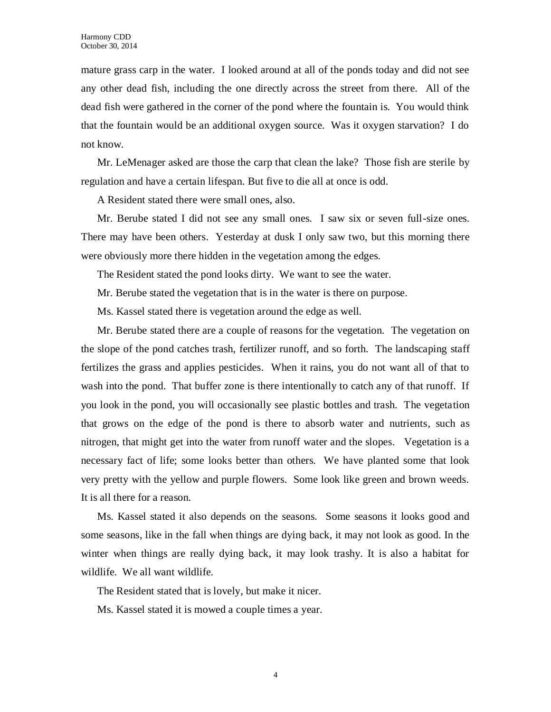mature grass carp in the water. I looked around at all of the ponds today and did not see any other dead fish, including the one directly across the street from there. All of the dead fish were gathered in the corner of the pond where the fountain is. You would think that the fountain would be an additional oxygen source. Was it oxygen starvation? I do not know.

Mr. LeMenager asked are those the carp that clean the lake? Those fish are sterile by regulation and have a certain lifespan. But five to die all at once is odd.

A Resident stated there were small ones, also.

Mr. Berube stated I did not see any small ones. I saw six or seven full-size ones. There may have been others. Yesterday at dusk I only saw two, but this morning there were obviously more there hidden in the vegetation among the edges.

The Resident stated the pond looks dirty. We want to see the water.

Mr. Berube stated the vegetation that is in the water is there on purpose.

Ms. Kassel stated there is vegetation around the edge as well.

Mr. Berube stated there are a couple of reasons for the vegetation. The vegetation on the slope of the pond catches trash, fertilizer runoff, and so forth. The landscaping staff fertilizes the grass and applies pesticides. When it rains, you do not want all of that to wash into the pond. That buffer zone is there intentionally to catch any of that runoff. If you look in the pond, you will occasionally see plastic bottles and trash. The vegetation that grows on the edge of the pond is there to absorb water and nutrients, such as nitrogen, that might get into the water from runoff water and the slopes. Vegetation is a necessary fact of life; some looks better than others. We have planted some that look very pretty with the yellow and purple flowers. Some look like green and brown weeds. It is all there for a reason.

Ms. Kassel stated it also depends on the seasons. Some seasons it looks good and some seasons, like in the fall when things are dying back, it may not look as good. In the winter when things are really dying back, it may look trashy. It is also a habitat for wildlife. We all want wildlife.

The Resident stated that is lovely, but make it nicer.

Ms. Kassel stated it is mowed a couple times a year.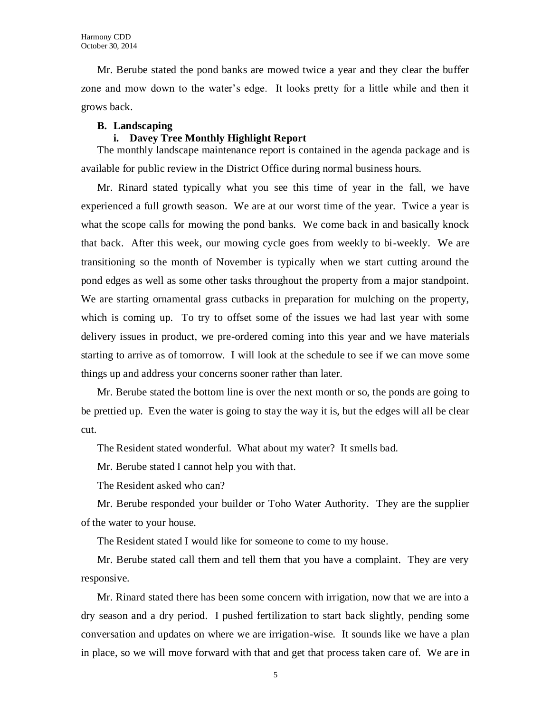Mr. Berube stated the pond banks are mowed twice a year and they clear the buffer zone and mow down to the water's edge. It looks pretty for a little while and then it grows back.

#### **B. Landscaping**

### **i. Davey Tree Monthly Highlight Report**

The monthly landscape maintenance report is contained in the agenda package and is available for public review in the District Office during normal business hours.

Mr. Rinard stated typically what you see this time of year in the fall, we have experienced a full growth season. We are at our worst time of the year. Twice a year is what the scope calls for mowing the pond banks. We come back in and basically knock that back. After this week, our mowing cycle goes from weekly to bi-weekly. We are transitioning so the month of November is typically when we start cutting around the pond edges as well as some other tasks throughout the property from a major standpoint. We are starting ornamental grass cutbacks in preparation for mulching on the property, which is coming up. To try to offset some of the issues we had last year with some delivery issues in product, we pre-ordered coming into this year and we have materials starting to arrive as of tomorrow. I will look at the schedule to see if we can move some things up and address your concerns sooner rather than later.

Mr. Berube stated the bottom line is over the next month or so, the ponds are going to be prettied up. Even the water is going to stay the way it is, but the edges will all be clear cut.

The Resident stated wonderful. What about my water? It smells bad.

Mr. Berube stated I cannot help you with that.

The Resident asked who can?

Mr. Berube responded your builder or Toho Water Authority. They are the supplier of the water to your house.

The Resident stated I would like for someone to come to my house.

Mr. Berube stated call them and tell them that you have a complaint. They are very responsive.

Mr. Rinard stated there has been some concern with irrigation, now that we are into a dry season and a dry period. I pushed fertilization to start back slightly, pending some conversation and updates on where we are irrigation-wise. It sounds like we have a plan in place, so we will move forward with that and get that process taken care of. We are in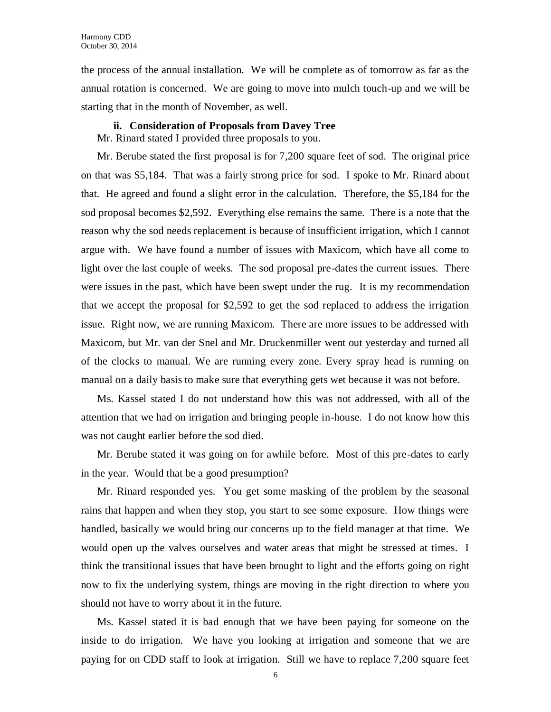the process of the annual installation. We will be complete as of tomorrow as far as the annual rotation is concerned. We are going to move into mulch touch-up and we will be starting that in the month of November, as well.

#### **ii. Consideration of Proposals from Davey Tree**

Mr. Rinard stated I provided three proposals to you.

Mr. Berube stated the first proposal is for 7,200 square feet of sod. The original price on that was \$5,184. That was a fairly strong price for sod. I spoke to Mr. Rinard about that. He agreed and found a slight error in the calculation. Therefore, the \$5,184 for the sod proposal becomes \$2,592. Everything else remains the same. There is a note that the reason why the sod needs replacement is because of insufficient irrigation, which I cannot argue with. We have found a number of issues with Maxicom, which have all come to light over the last couple of weeks. The sod proposal pre-dates the current issues. There were issues in the past, which have been swept under the rug. It is my recommendation that we accept the proposal for \$2,592 to get the sod replaced to address the irrigation issue. Right now, we are running Maxicom. There are more issues to be addressed with Maxicom, but Mr. van der Snel and Mr. Druckenmiller went out yesterday and turned all of the clocks to manual. We are running every zone. Every spray head is running on manual on a daily basis to make sure that everything gets wet because it was not before.

Ms. Kassel stated I do not understand how this was not addressed, with all of the attention that we had on irrigation and bringing people in-house. I do not know how this was not caught earlier before the sod died.

Mr. Berube stated it was going on for awhile before. Most of this pre-dates to early in the year. Would that be a good presumption?

Mr. Rinard responded yes. You get some masking of the problem by the seasonal rains that happen and when they stop, you start to see some exposure. How things were handled, basically we would bring our concerns up to the field manager at that time. We would open up the valves ourselves and water areas that might be stressed at times. I think the transitional issues that have been brought to light and the efforts going on right now to fix the underlying system, things are moving in the right direction to where you should not have to worry about it in the future.

Ms. Kassel stated it is bad enough that we have been paying for someone on the inside to do irrigation. We have you looking at irrigation and someone that we are paying for on CDD staff to look at irrigation. Still we have to replace 7,200 square feet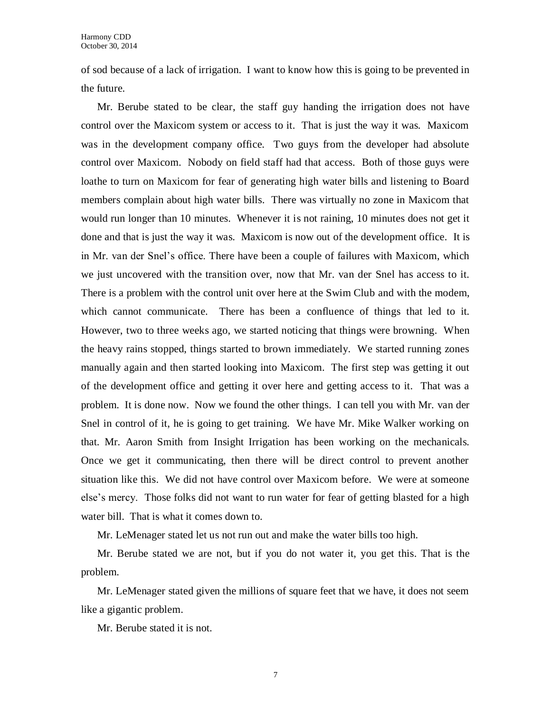of sod because of a lack of irrigation. I want to know how this is going to be prevented in the future.

Mr. Berube stated to be clear, the staff guy handing the irrigation does not have control over the Maxicom system or access to it. That is just the way it was. Maxicom was in the development company office. Two guys from the developer had absolute control over Maxicom. Nobody on field staff had that access. Both of those guys were loathe to turn on Maxicom for fear of generating high water bills and listening to Board members complain about high water bills. There was virtually no zone in Maxicom that would run longer than 10 minutes. Whenever it is not raining, 10 minutes does not get it done and that is just the way it was. Maxicom is now out of the development office. It is in Mr. van der Snel's office. There have been a couple of failures with Maxicom, which we just uncovered with the transition over, now that Mr. van der Snel has access to it. There is a problem with the control unit over here at the Swim Club and with the modem, which cannot communicate. There has been a confluence of things that led to it. However, two to three weeks ago, we started noticing that things were browning. When the heavy rains stopped, things started to brown immediately. We started running zones manually again and then started looking into Maxicom. The first step was getting it out of the development office and getting it over here and getting access to it. That was a problem. It is done now. Now we found the other things. I can tell you with Mr. van der Snel in control of it, he is going to get training. We have Mr. Mike Walker working on that. Mr. Aaron Smith from Insight Irrigation has been working on the mechanicals. Once we get it communicating, then there will be direct control to prevent another situation like this. We did not have control over Maxicom before. We were at someone else's mercy. Those folks did not want to run water for fear of getting blasted for a high water bill. That is what it comes down to.

Mr. LeMenager stated let us not run out and make the water bills too high.

Mr. Berube stated we are not, but if you do not water it, you get this. That is the problem.

Mr. LeMenager stated given the millions of square feet that we have, it does not seem like a gigantic problem.

Mr. Berube stated it is not.

7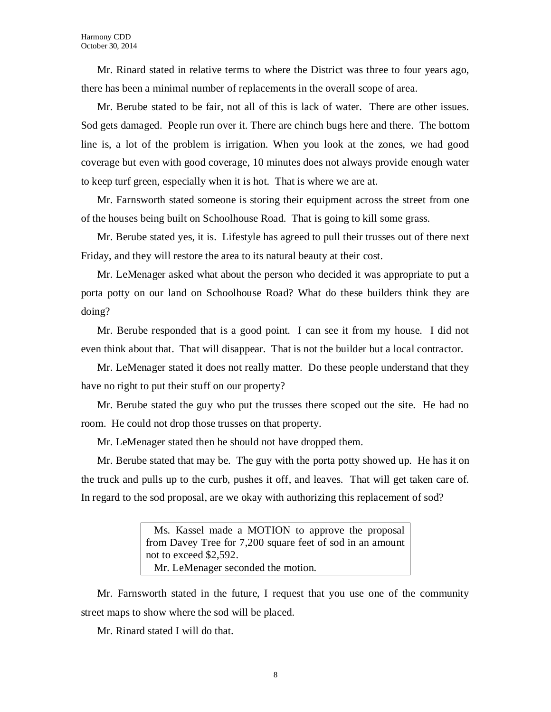Mr. Rinard stated in relative terms to where the District was three to four years ago, there has been a minimal number of replacements in the overall scope of area.

Mr. Berube stated to be fair, not all of this is lack of water. There are other issues. Sod gets damaged. People run over it. There are chinch bugs here and there. The bottom line is, a lot of the problem is irrigation. When you look at the zones, we had good coverage but even with good coverage, 10 minutes does not always provide enough water to keep turf green, especially when it is hot. That is where we are at.

Mr. Farnsworth stated someone is storing their equipment across the street from one of the houses being built on Schoolhouse Road. That is going to kill some grass.

Mr. Berube stated yes, it is. Lifestyle has agreed to pull their trusses out of there next Friday, and they will restore the area to its natural beauty at their cost.

Mr. LeMenager asked what about the person who decided it was appropriate to put a porta potty on our land on Schoolhouse Road? What do these builders think they are doing?

Mr. Berube responded that is a good point. I can see it from my house. I did not even think about that. That will disappear. That is not the builder but a local contractor.

Mr. LeMenager stated it does not really matter. Do these people understand that they have no right to put their stuff on our property?

Mr. Berube stated the guy who put the trusses there scoped out the site. He had no room. He could not drop those trusses on that property.

Mr. LeMenager stated then he should not have dropped them.

Mr. Berube stated that may be. The guy with the porta potty showed up. He has it on the truck and pulls up to the curb, pushes it off, and leaves. That will get taken care of. In regard to the sod proposal, are we okay with authorizing this replacement of sod?

> Ms. Kassel made a MOTION to approve the proposal from Davey Tree for 7,200 square feet of sod in an amount not to exceed \$2,592. Mr. LeMenager seconded the motion.

Mr. Farnsworth stated in the future, I request that you use one of the community street maps to show where the sod will be placed.

Mr. Rinard stated I will do that.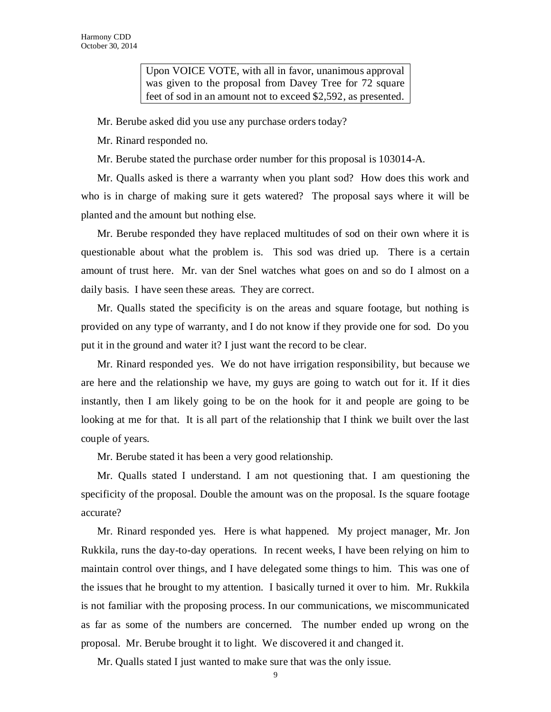Upon VOICE VOTE, with all in favor, unanimous approval was given to the proposal from Davey Tree for 72 square feet of sod in an amount not to exceed \$2,592, as presented.

Mr. Berube asked did you use any purchase orders today?

Mr. Rinard responded no.

Mr. Berube stated the purchase order number for this proposal is 103014-A.

Mr. Qualls asked is there a warranty when you plant sod? How does this work and who is in charge of making sure it gets watered? The proposal says where it will be planted and the amount but nothing else.

Mr. Berube responded they have replaced multitudes of sod on their own where it is questionable about what the problem is. This sod was dried up. There is a certain amount of trust here. Mr. van der Snel watches what goes on and so do I almost on a daily basis. I have seen these areas. They are correct.

Mr. Qualls stated the specificity is on the areas and square footage, but nothing is provided on any type of warranty, and I do not know if they provide one for sod. Do you put it in the ground and water it? I just want the record to be clear.

Mr. Rinard responded yes. We do not have irrigation responsibility, but because we are here and the relationship we have, my guys are going to watch out for it. If it dies instantly, then I am likely going to be on the hook for it and people are going to be looking at me for that. It is all part of the relationship that I think we built over the last couple of years.

Mr. Berube stated it has been a very good relationship.

Mr. Qualls stated I understand. I am not questioning that. I am questioning the specificity of the proposal. Double the amount was on the proposal. Is the square footage accurate?

Mr. Rinard responded yes. Here is what happened. My project manager, Mr. Jon Rukkila, runs the day-to-day operations. In recent weeks, I have been relying on him to maintain control over things, and I have delegated some things to him. This was one of the issues that he brought to my attention. I basically turned it over to him. Mr. Rukkila is not familiar with the proposing process. In our communications, we miscommunicated as far as some of the numbers are concerned. The number ended up wrong on the proposal. Mr. Berube brought it to light. We discovered it and changed it.

Mr. Qualls stated I just wanted to make sure that was the only issue.

9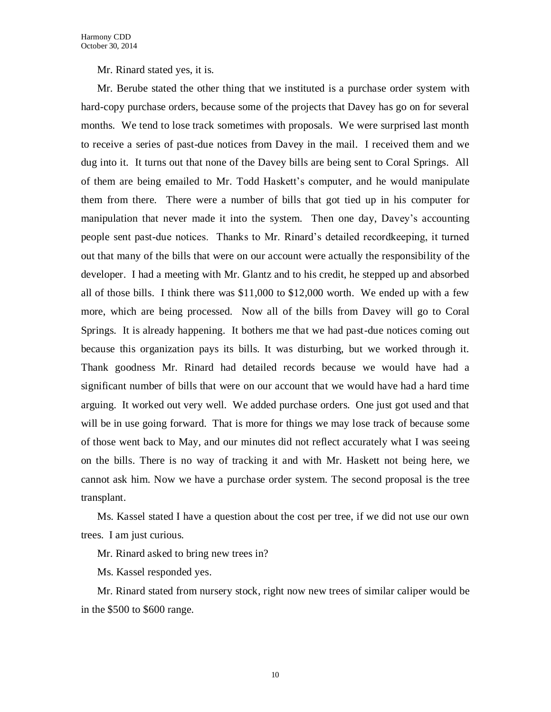Mr. Rinard stated yes, it is.

Mr. Berube stated the other thing that we instituted is a purchase order system with hard-copy purchase orders, because some of the projects that Davey has go on for several months. We tend to lose track sometimes with proposals. We were surprised last month to receive a series of past-due notices from Davey in the mail. I received them and we dug into it. It turns out that none of the Davey bills are being sent to Coral Springs. All of them are being emailed to Mr. Todd Haskett's computer, and he would manipulate them from there. There were a number of bills that got tied up in his computer for manipulation that never made it into the system. Then one day, Davey's accounting people sent past-due notices. Thanks to Mr. Rinard's detailed recordkeeping, it turned out that many of the bills that were on our account were actually the responsibility of the developer. I had a meeting with Mr. Glantz and to his credit, he stepped up and absorbed all of those bills. I think there was \$11,000 to \$12,000 worth. We ended up with a few more, which are being processed. Now all of the bills from Davey will go to Coral Springs. It is already happening. It bothers me that we had past-due notices coming out because this organization pays its bills. It was disturbing, but we worked through it. Thank goodness Mr. Rinard had detailed records because we would have had a significant number of bills that were on our account that we would have had a hard time arguing. It worked out very well. We added purchase orders. One just got used and that will be in use going forward. That is more for things we may lose track of because some of those went back to May, and our minutes did not reflect accurately what I was seeing on the bills. There is no way of tracking it and with Mr. Haskett not being here, we cannot ask him. Now we have a purchase order system. The second proposal is the tree transplant.

Ms. Kassel stated I have a question about the cost per tree, if we did not use our own trees. I am just curious.

Mr. Rinard asked to bring new trees in?

Ms. Kassel responded yes.

Mr. Rinard stated from nursery stock, right now new trees of similar caliper would be in the \$500 to \$600 range.

10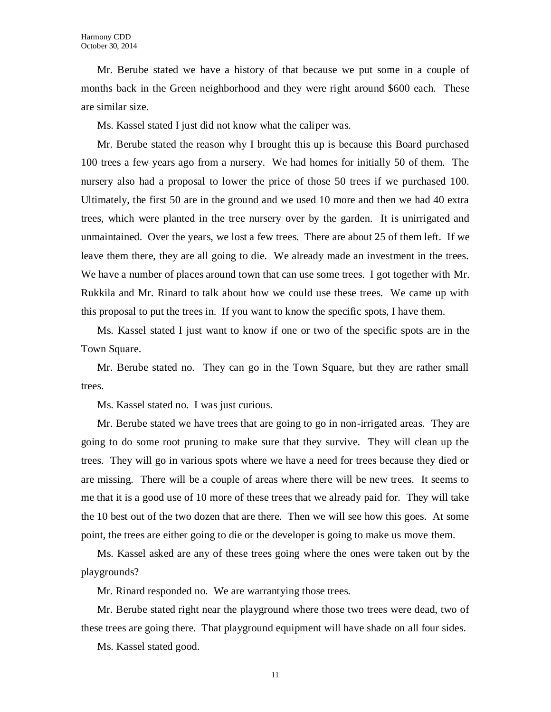Mr. Berube stated we have a history of that because we put some in a couple of months back in the Green neighborhood and they were right around \$600 each. These are similar size.

Ms. Kassel stated I just did not know what the caliper was.

Mr. Berube stated the reason why I brought this up is because this Board purchased 100 trees a few years ago from a nursery. We had homes for initially 50 of them. The nursery also had a proposal to lower the price of those 50 trees if we purchased 100. Ultimately, the first 50 are in the ground and we used 10 more and then we had 40 extra trees, which were planted in the tree nursery over by the garden. It is unirrigated and unmaintained. Over the years, we lost a few trees. There are about 25 of them left. If we leave them there, they are all going to die. We already made an investment in the trees. We have a number of places around town that can use some trees. I got together with Mr. Rukkila and Mr. Rinard to talk about how we could use these trees. We came up with this proposal to put the trees in. If you want to know the specific spots, I have them.

Ms. Kassel stated I just want to know if one or two of the specific spots are in the Town Square.

Mr. Berube stated no. They can go in the Town Square, but they are rather small trees.

Ms. Kassel stated no. I was just curious.

Mr. Berube stated we have trees that are going to go in non-irrigated areas. They are going to do some root pruning to make sure that they survive. They will clean up the trees. They will go in various spots where we have a need for trees because they died or are missing. There will be a couple of areas where there will be new trees. It seems to me that it is a good use of 10 more of these trees that we already paid for. They will take the 10 best out of the two dozen that are there. Then we will see how this goes. At some point, the trees are either going to die or the developer is going to make us move them.

Ms. Kassel asked are any of these trees going where the ones were taken out by the playgrounds?

Mr. Rinard responded no. We are warrantying those trees.

Mr. Berube stated right near the playground where those two trees were dead, two of these trees are going there. That playground equipment will have shade on all four sides.

Ms. Kassel stated good.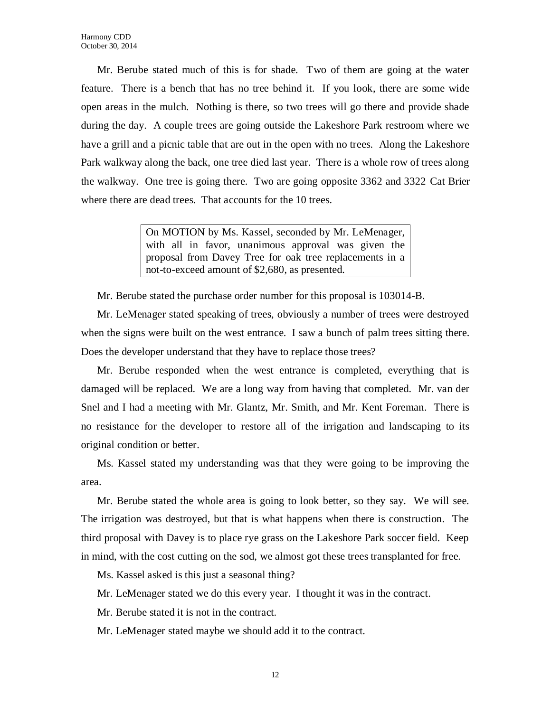Mr. Berube stated much of this is for shade. Two of them are going at the water feature. There is a bench that has no tree behind it. If you look, there are some wide open areas in the mulch. Nothing is there, so two trees will go there and provide shade during the day. A couple trees are going outside the Lakeshore Park restroom where we have a grill and a picnic table that are out in the open with no trees. Along the Lakeshore Park walkway along the back, one tree died last year. There is a whole row of trees along the walkway. One tree is going there. Two are going opposite 3362 and 3322 Cat Brier where there are dead trees. That accounts for the 10 trees.

> On MOTION by Ms. Kassel, seconded by Mr. LeMenager, with all in favor, unanimous approval was given the proposal from Davey Tree for oak tree replacements in a not-to-exceed amount of \$2,680, as presented.

Mr. Berube stated the purchase order number for this proposal is 103014-B.

Mr. LeMenager stated speaking of trees, obviously a number of trees were destroyed when the signs were built on the west entrance. I saw a bunch of palm trees sitting there. Does the developer understand that they have to replace those trees?

Mr. Berube responded when the west entrance is completed, everything that is damaged will be replaced. We are a long way from having that completed. Mr. van der Snel and I had a meeting with Mr. Glantz, Mr. Smith, and Mr. Kent Foreman. There is no resistance for the developer to restore all of the irrigation and landscaping to its original condition or better.

Ms. Kassel stated my understanding was that they were going to be improving the area.

Mr. Berube stated the whole area is going to look better, so they say. We will see. The irrigation was destroyed, but that is what happens when there is construction. The third proposal with Davey is to place rye grass on the Lakeshore Park soccer field. Keep in mind, with the cost cutting on the sod, we almost got these trees transplanted for free.

Ms. Kassel asked is this just a seasonal thing?

Mr. LeMenager stated we do this every year. I thought it was in the contract.

Mr. Berube stated it is not in the contract.

Mr. LeMenager stated maybe we should add it to the contract.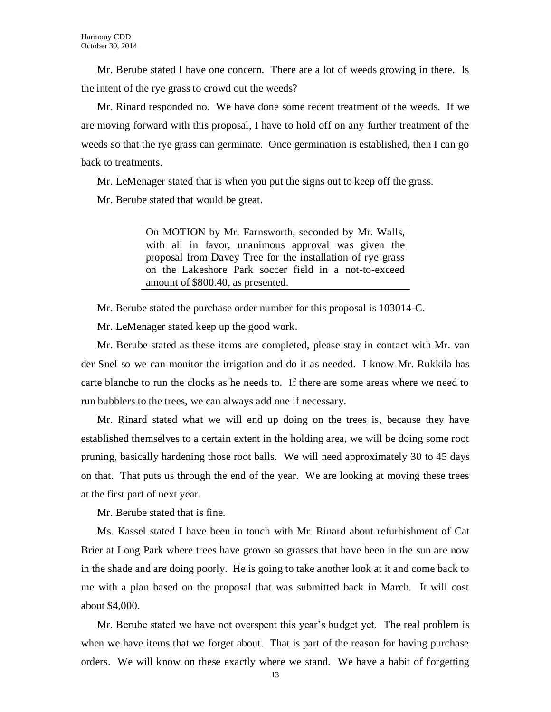Mr. Berube stated I have one concern. There are a lot of weeds growing in there. Is the intent of the rye grass to crowd out the weeds?

Mr. Rinard responded no. We have done some recent treatment of the weeds. If we are moving forward with this proposal, I have to hold off on any further treatment of the weeds so that the rye grass can germinate. Once germination is established, then I can go back to treatments.

Mr. LeMenager stated that is when you put the signs out to keep off the grass.

Mr. Berube stated that would be great.

On MOTION by Mr. Farnsworth, seconded by Mr. Walls, with all in favor, unanimous approval was given the proposal from Davey Tree for the installation of rye grass on the Lakeshore Park soccer field in a not-to-exceed amount of \$800.40, as presented.

Mr. Berube stated the purchase order number for this proposal is 103014-C.

Mr. LeMenager stated keep up the good work.

Mr. Berube stated as these items are completed, please stay in contact with Mr. van der Snel so we can monitor the irrigation and do it as needed. I know Mr. Rukkila has carte blanche to run the clocks as he needs to. If there are some areas where we need to run bubblers to the trees, we can always add one if necessary.

Mr. Rinard stated what we will end up doing on the trees is, because they have established themselves to a certain extent in the holding area, we will be doing some root pruning, basically hardening those root balls. We will need approximately 30 to 45 days on that. That puts us through the end of the year. We are looking at moving these trees at the first part of next year.

Mr. Berube stated that is fine.

Ms. Kassel stated I have been in touch with Mr. Rinard about refurbishment of Cat Brier at Long Park where trees have grown so grasses that have been in the sun are now in the shade and are doing poorly. He is going to take another look at it and come back to me with a plan based on the proposal that was submitted back in March. It will cost about \$4,000.

Mr. Berube stated we have not overspent this year's budget yet. The real problem is when we have items that we forget about. That is part of the reason for having purchase orders. We will know on these exactly where we stand. We have a habit of forgetting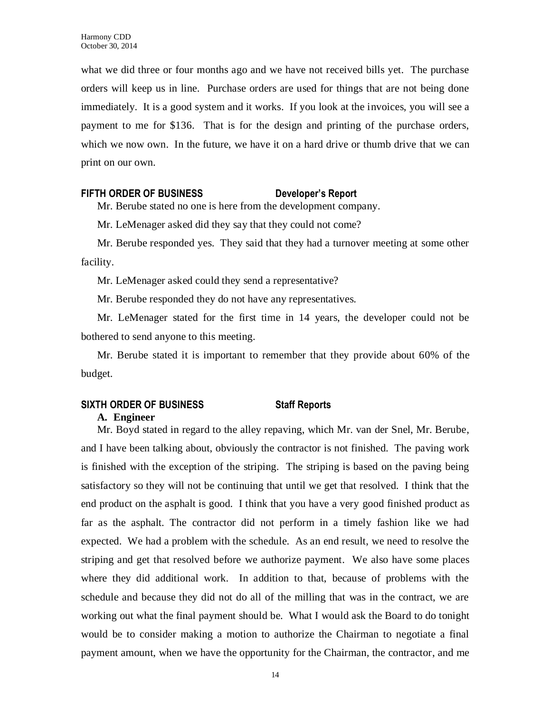what we did three or four months ago and we have not received bills yet. The purchase orders will keep us in line. Purchase orders are used for things that are not being done immediately. It is a good system and it works. If you look at the invoices, you will see a payment to me for \$136. That is for the design and printing of the purchase orders, which we now own. In the future, we have it on a hard drive or thumb drive that we can print on our own.

#### **FIFTH ORDER OF BUSINESS Developer's Report**

Mr. Berube stated no one is here from the development company.

Mr. LeMenager asked did they say that they could not come?

Mr. Berube responded yes. They said that they had a turnover meeting at some other facility.

Mr. LeMenager asked could they send a representative?

Mr. Berube responded they do not have any representatives.

Mr. LeMenager stated for the first time in 14 years, the developer could not be bothered to send anyone to this meeting.

Mr. Berube stated it is important to remember that they provide about 60% of the budget.

## **SIXTH ORDER OF BUSINESS Staff Reports A. Engineer**

Mr. Boyd stated in regard to the alley repaving, which Mr. van der Snel, Mr. Berube, and I have been talking about, obviously the contractor is not finished. The paving work is finished with the exception of the striping. The striping is based on the paving being satisfactory so they will not be continuing that until we get that resolved. I think that the end product on the asphalt is good. I think that you have a very good finished product as far as the asphalt. The contractor did not perform in a timely fashion like we had expected. We had a problem with the schedule. As an end result, we need to resolve the striping and get that resolved before we authorize payment. We also have some places where they did additional work. In addition to that, because of problems with the schedule and because they did not do all of the milling that was in the contract, we are working out what the final payment should be. What I would ask the Board to do tonight would be to consider making a motion to authorize the Chairman to negotiate a final payment amount, when we have the opportunity for the Chairman, the contractor, and me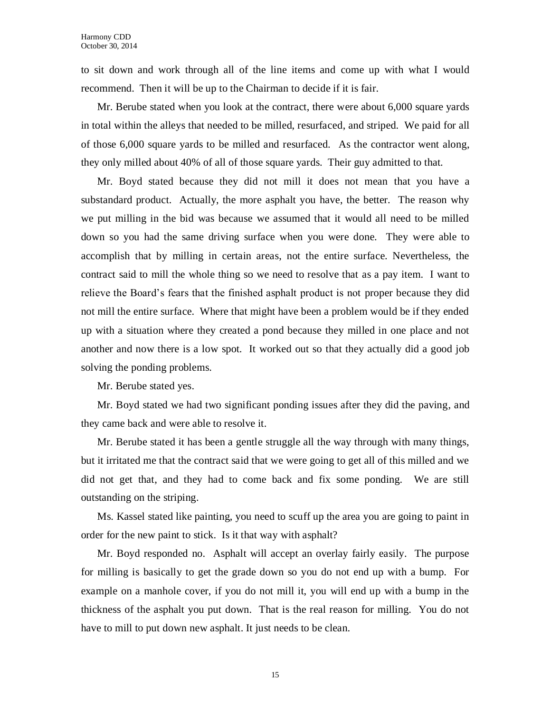to sit down and work through all of the line items and come up with what I would recommend. Then it will be up to the Chairman to decide if it is fair.

Mr. Berube stated when you look at the contract, there were about 6,000 square yards in total within the alleys that needed to be milled, resurfaced, and striped. We paid for all of those 6,000 square yards to be milled and resurfaced. As the contractor went along, they only milled about 40% of all of those square yards. Their guy admitted to that.

Mr. Boyd stated because they did not mill it does not mean that you have a substandard product. Actually, the more asphalt you have, the better. The reason why we put milling in the bid was because we assumed that it would all need to be milled down so you had the same driving surface when you were done. They were able to accomplish that by milling in certain areas, not the entire surface. Nevertheless, the contract said to mill the whole thing so we need to resolve that as a pay item. I want to relieve the Board's fears that the finished asphalt product is not proper because they did not mill the entire surface. Where that might have been a problem would be if they ended up with a situation where they created a pond because they milled in one place and not another and now there is a low spot. It worked out so that they actually did a good job solving the ponding problems.

Mr. Berube stated yes.

Mr. Boyd stated we had two significant ponding issues after they did the paving, and they came back and were able to resolve it.

Mr. Berube stated it has been a gentle struggle all the way through with many things, but it irritated me that the contract said that we were going to get all of this milled and we did not get that, and they had to come back and fix some ponding. We are still outstanding on the striping.

Ms. Kassel stated like painting, you need to scuff up the area you are going to paint in order for the new paint to stick. Is it that way with asphalt?

Mr. Boyd responded no. Asphalt will accept an overlay fairly easily. The purpose for milling is basically to get the grade down so you do not end up with a bump. For example on a manhole cover, if you do not mill it, you will end up with a bump in the thickness of the asphalt you put down. That is the real reason for milling. You do not have to mill to put down new asphalt. It just needs to be clean.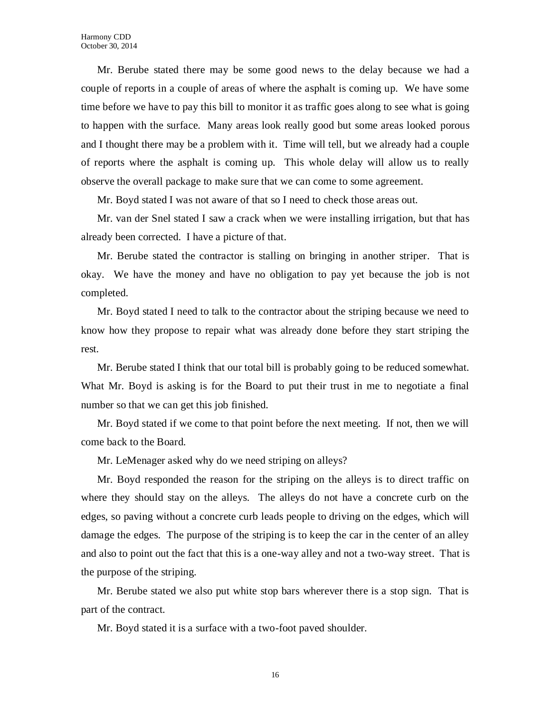Mr. Berube stated there may be some good news to the delay because we had a couple of reports in a couple of areas of where the asphalt is coming up. We have some time before we have to pay this bill to monitor it as traffic goes along to see what is going to happen with the surface. Many areas look really good but some areas looked porous and I thought there may be a problem with it. Time will tell, but we already had a couple of reports where the asphalt is coming up. This whole delay will allow us to really observe the overall package to make sure that we can come to some agreement.

Mr. Boyd stated I was not aware of that so I need to check those areas out.

Mr. van der Snel stated I saw a crack when we were installing irrigation, but that has already been corrected. I have a picture of that.

Mr. Berube stated the contractor is stalling on bringing in another striper. That is okay. We have the money and have no obligation to pay yet because the job is not completed.

Mr. Boyd stated I need to talk to the contractor about the striping because we need to know how they propose to repair what was already done before they start striping the rest.

Mr. Berube stated I think that our total bill is probably going to be reduced somewhat. What Mr. Boyd is asking is for the Board to put their trust in me to negotiate a final number so that we can get this job finished.

Mr. Boyd stated if we come to that point before the next meeting. If not, then we will come back to the Board.

Mr. LeMenager asked why do we need striping on alleys?

Mr. Boyd responded the reason for the striping on the alleys is to direct traffic on where they should stay on the alleys. The alleys do not have a concrete curb on the edges, so paving without a concrete curb leads people to driving on the edges, which will damage the edges. The purpose of the striping is to keep the car in the center of an alley and also to point out the fact that this is a one-way alley and not a two-way street. That is the purpose of the striping.

Mr. Berube stated we also put white stop bars wherever there is a stop sign. That is part of the contract.

Mr. Boyd stated it is a surface with a two-foot paved shoulder.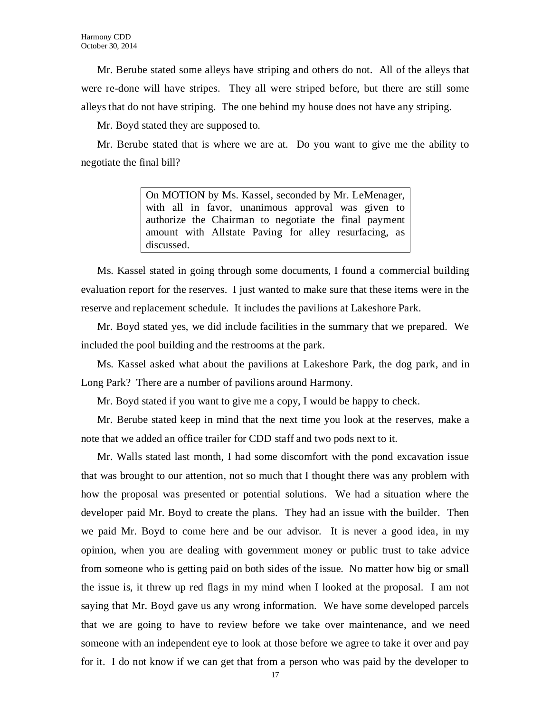Mr. Berube stated some alleys have striping and others do not. All of the alleys that were re-done will have stripes. They all were striped before, but there are still some alleys that do not have striping. The one behind my house does not have any striping.

Mr. Boyd stated they are supposed to.

Mr. Berube stated that is where we are at. Do you want to give me the ability to negotiate the final bill?

> On MOTION by Ms. Kassel, seconded by Mr. LeMenager, with all in favor, unanimous approval was given to authorize the Chairman to negotiate the final payment amount with Allstate Paving for alley resurfacing, as discussed.

Ms. Kassel stated in going through some documents, I found a commercial building evaluation report for the reserves. I just wanted to make sure that these items were in the reserve and replacement schedule. It includes the pavilions at Lakeshore Park.

Mr. Boyd stated yes, we did include facilities in the summary that we prepared. We included the pool building and the restrooms at the park.

Ms. Kassel asked what about the pavilions at Lakeshore Park, the dog park, and in Long Park? There are a number of pavilions around Harmony.

Mr. Boyd stated if you want to give me a copy, I would be happy to check.

Mr. Berube stated keep in mind that the next time you look at the reserves, make a note that we added an office trailer for CDD staff and two pods next to it.

Mr. Walls stated last month, I had some discomfort with the pond excavation issue that was brought to our attention, not so much that I thought there was any problem with how the proposal was presented or potential solutions. We had a situation where the developer paid Mr. Boyd to create the plans. They had an issue with the builder. Then we paid Mr. Boyd to come here and be our advisor. It is never a good idea, in my opinion, when you are dealing with government money or public trust to take advice from someone who is getting paid on both sides of the issue. No matter how big or small the issue is, it threw up red flags in my mind when I looked at the proposal. I am not saying that Mr. Boyd gave us any wrong information. We have some developed parcels that we are going to have to review before we take over maintenance, and we need someone with an independent eye to look at those before we agree to take it over and pay for it. I do not know if we can get that from a person who was paid by the developer to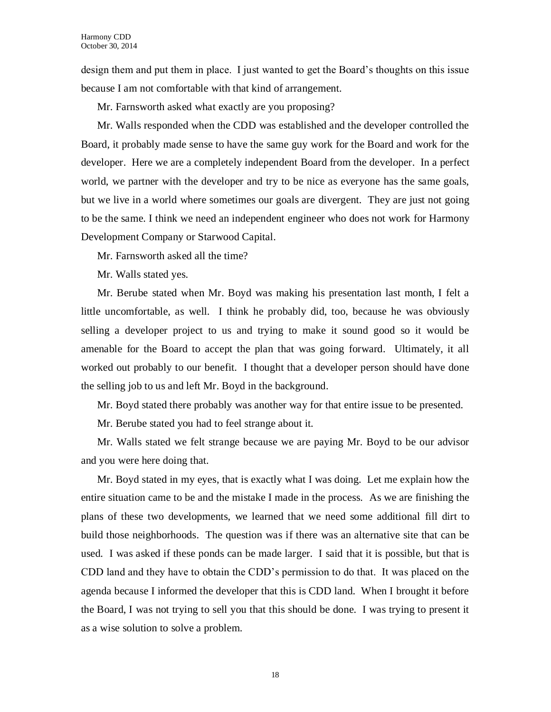design them and put them in place. I just wanted to get the Board's thoughts on this issue because I am not comfortable with that kind of arrangement.

Mr. Farnsworth asked what exactly are you proposing?

Mr. Walls responded when the CDD was established and the developer controlled the Board, it probably made sense to have the same guy work for the Board and work for the developer. Here we are a completely independent Board from the developer. In a perfect world, we partner with the developer and try to be nice as everyone has the same goals, but we live in a world where sometimes our goals are divergent. They are just not going to be the same. I think we need an independent engineer who does not work for Harmony Development Company or Starwood Capital.

Mr. Farnsworth asked all the time?

Mr. Walls stated yes.

Mr. Berube stated when Mr. Boyd was making his presentation last month, I felt a little uncomfortable, as well. I think he probably did, too, because he was obviously selling a developer project to us and trying to make it sound good so it would be amenable for the Board to accept the plan that was going forward. Ultimately, it all worked out probably to our benefit. I thought that a developer person should have done the selling job to us and left Mr. Boyd in the background.

Mr. Boyd stated there probably was another way for that entire issue to be presented.

Mr. Berube stated you had to feel strange about it.

Mr. Walls stated we felt strange because we are paying Mr. Boyd to be our advisor and you were here doing that.

Mr. Boyd stated in my eyes, that is exactly what I was doing. Let me explain how the entire situation came to be and the mistake I made in the process. As we are finishing the plans of these two developments, we learned that we need some additional fill dirt to build those neighborhoods. The question was if there was an alternative site that can be used. I was asked if these ponds can be made larger. I said that it is possible, but that is CDD land and they have to obtain the CDD's permission to do that. It was placed on the agenda because I informed the developer that this is CDD land. When I brought it before the Board, I was not trying to sell you that this should be done. I was trying to present it as a wise solution to solve a problem.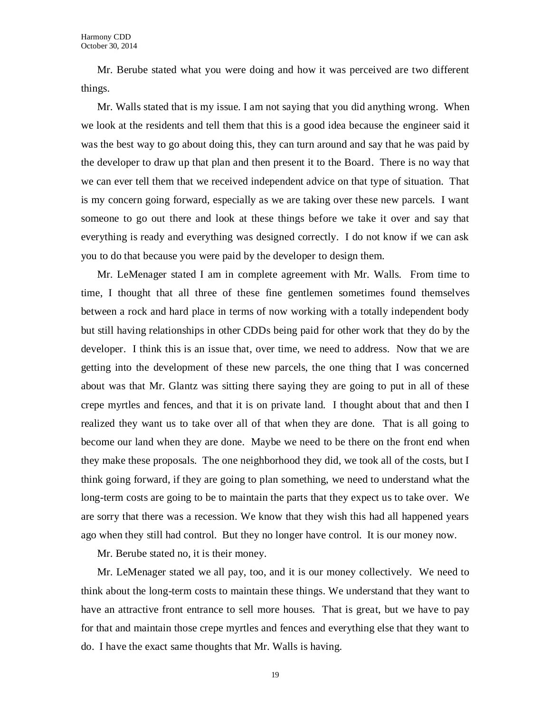Mr. Berube stated what you were doing and how it was perceived are two different things.

Mr. Walls stated that is my issue. I am not saying that you did anything wrong. When we look at the residents and tell them that this is a good idea because the engineer said it was the best way to go about doing this, they can turn around and say that he was paid by the developer to draw up that plan and then present it to the Board. There is no way that we can ever tell them that we received independent advice on that type of situation. That is my concern going forward, especially as we are taking over these new parcels. I want someone to go out there and look at these things before we take it over and say that everything is ready and everything was designed correctly. I do not know if we can ask you to do that because you were paid by the developer to design them.

Mr. LeMenager stated I am in complete agreement with Mr. Walls. From time to time, I thought that all three of these fine gentlemen sometimes found themselves between a rock and hard place in terms of now working with a totally independent body but still having relationships in other CDDs being paid for other work that they do by the developer. I think this is an issue that, over time, we need to address. Now that we are getting into the development of these new parcels, the one thing that I was concerned about was that Mr. Glantz was sitting there saying they are going to put in all of these crepe myrtles and fences, and that it is on private land. I thought about that and then I realized they want us to take over all of that when they are done. That is all going to become our land when they are done. Maybe we need to be there on the front end when they make these proposals. The one neighborhood they did, we took all of the costs, but I think going forward, if they are going to plan something, we need to understand what the long-term costs are going to be to maintain the parts that they expect us to take over. We are sorry that there was a recession. We know that they wish this had all happened years ago when they still had control. But they no longer have control. It is our money now.

Mr. Berube stated no, it is their money.

Mr. LeMenager stated we all pay, too, and it is our money collectively. We need to think about the long-term costs to maintain these things. We understand that they want to have an attractive front entrance to sell more houses. That is great, but we have to pay for that and maintain those crepe myrtles and fences and everything else that they want to do. I have the exact same thoughts that Mr. Walls is having.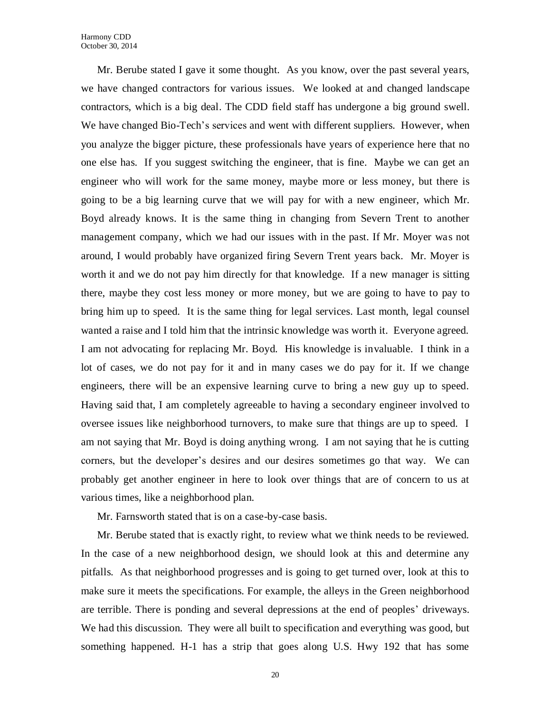Mr. Berube stated I gave it some thought. As you know, over the past several years, we have changed contractors for various issues. We looked at and changed landscape contractors, which is a big deal. The CDD field staff has undergone a big ground swell. We have changed Bio-Tech's services and went with different suppliers. However, when you analyze the bigger picture, these professionals have years of experience here that no one else has. If you suggest switching the engineer, that is fine. Maybe we can get an engineer who will work for the same money, maybe more or less money, but there is going to be a big learning curve that we will pay for with a new engineer, which Mr. Boyd already knows. It is the same thing in changing from Severn Trent to another management company, which we had our issues with in the past. If Mr. Moyer was not around, I would probably have organized firing Severn Trent years back. Mr. Moyer is worth it and we do not pay him directly for that knowledge. If a new manager is sitting there, maybe they cost less money or more money, but we are going to have to pay to bring him up to speed. It is the same thing for legal services. Last month, legal counsel wanted a raise and I told him that the intrinsic knowledge was worth it. Everyone agreed. I am not advocating for replacing Mr. Boyd. His knowledge is invaluable. I think in a lot of cases, we do not pay for it and in many cases we do pay for it. If we change engineers, there will be an expensive learning curve to bring a new guy up to speed. Having said that, I am completely agreeable to having a secondary engineer involved to oversee issues like neighborhood turnovers, to make sure that things are up to speed. I am not saying that Mr. Boyd is doing anything wrong. I am not saying that he is cutting corners, but the developer's desires and our desires sometimes go that way. We can probably get another engineer in here to look over things that are of concern to us at various times, like a neighborhood plan.

Mr. Farnsworth stated that is on a case-by-case basis.

Mr. Berube stated that is exactly right, to review what we think needs to be reviewed. In the case of a new neighborhood design, we should look at this and determine any pitfalls. As that neighborhood progresses and is going to get turned over, look at this to make sure it meets the specifications. For example, the alleys in the Green neighborhood are terrible. There is ponding and several depressions at the end of peoples' driveways. We had this discussion. They were all built to specification and everything was good, but something happened. H-1 has a strip that goes along U.S. Hwy 192 that has some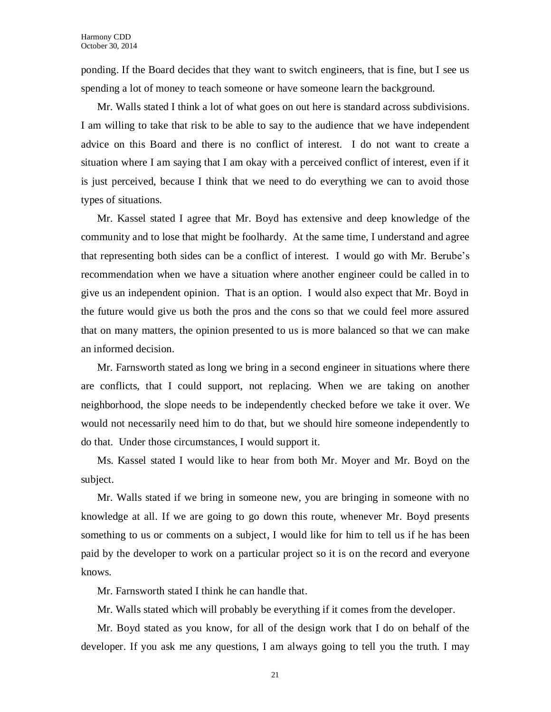ponding. If the Board decides that they want to switch engineers, that is fine, but I see us spending a lot of money to teach someone or have someone learn the background.

Mr. Walls stated I think a lot of what goes on out here is standard across subdivisions. I am willing to take that risk to be able to say to the audience that we have independent advice on this Board and there is no conflict of interest. I do not want to create a situation where I am saying that I am okay with a perceived conflict of interest, even if it is just perceived, because I think that we need to do everything we can to avoid those types of situations.

Mr. Kassel stated I agree that Mr. Boyd has extensive and deep knowledge of the community and to lose that might be foolhardy. At the same time, I understand and agree that representing both sides can be a conflict of interest. I would go with Mr. Berube's recommendation when we have a situation where another engineer could be called in to give us an independent opinion. That is an option. I would also expect that Mr. Boyd in the future would give us both the pros and the cons so that we could feel more assured that on many matters, the opinion presented to us is more balanced so that we can make an informed decision.

Mr. Farnsworth stated as long we bring in a second engineer in situations where there are conflicts, that I could support, not replacing. When we are taking on another neighborhood, the slope needs to be independently checked before we take it over. We would not necessarily need him to do that, but we should hire someone independently to do that. Under those circumstances, I would support it.

Ms. Kassel stated I would like to hear from both Mr. Moyer and Mr. Boyd on the subject.

Mr. Walls stated if we bring in someone new, you are bringing in someone with no knowledge at all. If we are going to go down this route, whenever Mr. Boyd presents something to us or comments on a subject, I would like for him to tell us if he has been paid by the developer to work on a particular project so it is on the record and everyone knows.

Mr. Farnsworth stated I think he can handle that.

Mr. Walls stated which will probably be everything if it comes from the developer.

Mr. Boyd stated as you know, for all of the design work that I do on behalf of the developer. If you ask me any questions, I am always going to tell you the truth. I may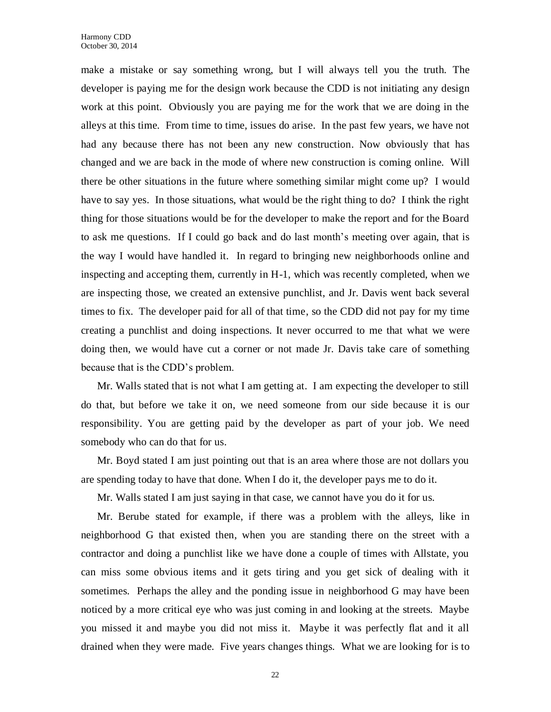make a mistake or say something wrong, but I will always tell you the truth. The developer is paying me for the design work because the CDD is not initiating any design work at this point. Obviously you are paying me for the work that we are doing in the alleys at this time. From time to time, issues do arise. In the past few years, we have not had any because there has not been any new construction. Now obviously that has changed and we are back in the mode of where new construction is coming online. Will there be other situations in the future where something similar might come up? I would have to say yes. In those situations, what would be the right thing to do? I think the right thing for those situations would be for the developer to make the report and for the Board to ask me questions. If I could go back and do last month's meeting over again, that is the way I would have handled it. In regard to bringing new neighborhoods online and inspecting and accepting them, currently in H-1, which was recently completed, when we are inspecting those, we created an extensive punchlist, and Jr. Davis went back several times to fix. The developer paid for all of that time, so the CDD did not pay for my time creating a punchlist and doing inspections. It never occurred to me that what we were doing then, we would have cut a corner or not made Jr. Davis take care of something because that is the CDD's problem.

Mr. Walls stated that is not what I am getting at. I am expecting the developer to still do that, but before we take it on, we need someone from our side because it is our responsibility. You are getting paid by the developer as part of your job. We need somebody who can do that for us.

Mr. Boyd stated I am just pointing out that is an area where those are not dollars you are spending today to have that done. When I do it, the developer pays me to do it.

Mr. Walls stated I am just saying in that case, we cannot have you do it for us.

Mr. Berube stated for example, if there was a problem with the alleys, like in neighborhood G that existed then, when you are standing there on the street with a contractor and doing a punchlist like we have done a couple of times with Allstate, you can miss some obvious items and it gets tiring and you get sick of dealing with it sometimes. Perhaps the alley and the ponding issue in neighborhood G may have been noticed by a more critical eye who was just coming in and looking at the streets. Maybe you missed it and maybe you did not miss it. Maybe it was perfectly flat and it all drained when they were made. Five years changes things. What we are looking for is to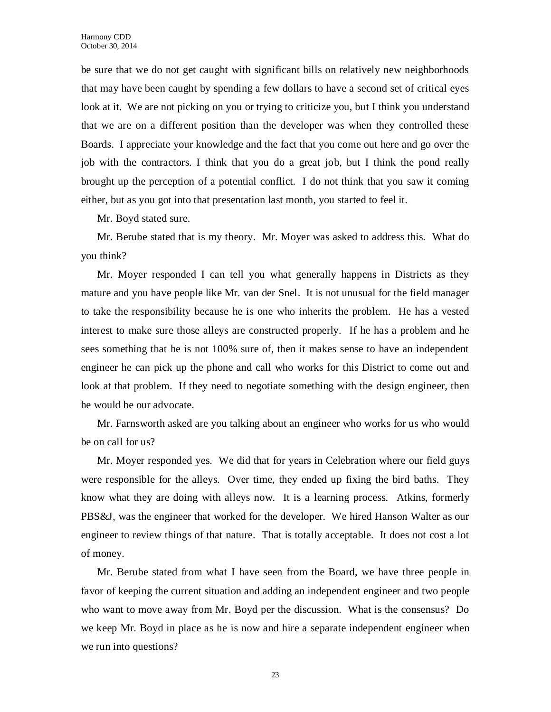be sure that we do not get caught with significant bills on relatively new neighborhoods that may have been caught by spending a few dollars to have a second set of critical eyes look at it. We are not picking on you or trying to criticize you, but I think you understand that we are on a different position than the developer was when they controlled these Boards. I appreciate your knowledge and the fact that you come out here and go over the job with the contractors. I think that you do a great job, but I think the pond really brought up the perception of a potential conflict. I do not think that you saw it coming either, but as you got into that presentation last month, you started to feel it.

Mr. Boyd stated sure.

Mr. Berube stated that is my theory. Mr. Moyer was asked to address this. What do you think?

Mr. Moyer responded I can tell you what generally happens in Districts as they mature and you have people like Mr. van der Snel. It is not unusual for the field manager to take the responsibility because he is one who inherits the problem. He has a vested interest to make sure those alleys are constructed properly. If he has a problem and he sees something that he is not 100% sure of, then it makes sense to have an independent engineer he can pick up the phone and call who works for this District to come out and look at that problem. If they need to negotiate something with the design engineer, then he would be our advocate.

Mr. Farnsworth asked are you talking about an engineer who works for us who would be on call for us?

Mr. Moyer responded yes. We did that for years in Celebration where our field guys were responsible for the alleys. Over time, they ended up fixing the bird baths. They know what they are doing with alleys now. It is a learning process. Atkins, formerly PBS&J, was the engineer that worked for the developer. We hired Hanson Walter as our engineer to review things of that nature. That is totally acceptable. It does not cost a lot of money.

Mr. Berube stated from what I have seen from the Board, we have three people in favor of keeping the current situation and adding an independent engineer and two people who want to move away from Mr. Boyd per the discussion. What is the consensus? Do we keep Mr. Boyd in place as he is now and hire a separate independent engineer when we run into questions?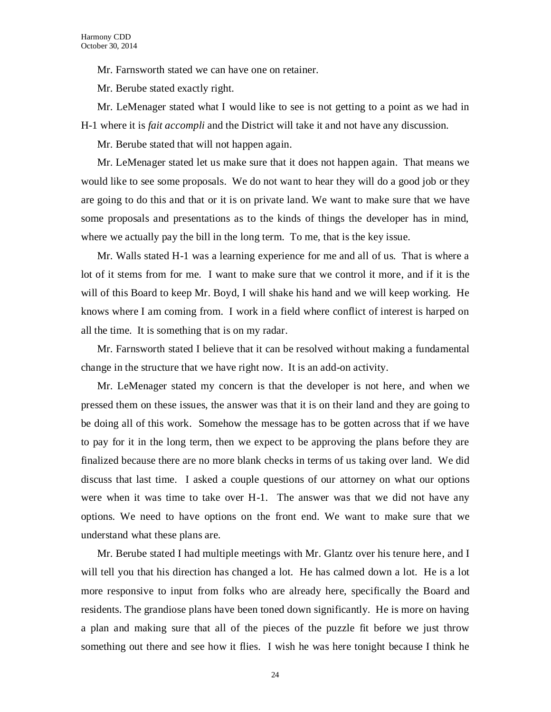Mr. Farnsworth stated we can have one on retainer.

Mr. Berube stated exactly right.

Mr. LeMenager stated what I would like to see is not getting to a point as we had in H-1 where it is *fait accompli* and the District will take it and not have any discussion.

Mr. Berube stated that will not happen again.

Mr. LeMenager stated let us make sure that it does not happen again. That means we would like to see some proposals. We do not want to hear they will do a good job or they are going to do this and that or it is on private land. We want to make sure that we have some proposals and presentations as to the kinds of things the developer has in mind, where we actually pay the bill in the long term. To me, that is the key issue.

Mr. Walls stated H-1 was a learning experience for me and all of us. That is where a lot of it stems from for me. I want to make sure that we control it more, and if it is the will of this Board to keep Mr. Boyd, I will shake his hand and we will keep working. He knows where I am coming from. I work in a field where conflict of interest is harped on all the time. It is something that is on my radar.

Mr. Farnsworth stated I believe that it can be resolved without making a fundamental change in the structure that we have right now. It is an add-on activity.

Mr. LeMenager stated my concern is that the developer is not here, and when we pressed them on these issues, the answer was that it is on their land and they are going to be doing all of this work. Somehow the message has to be gotten across that if we have to pay for it in the long term, then we expect to be approving the plans before they are finalized because there are no more blank checks in terms of us taking over land. We did discuss that last time. I asked a couple questions of our attorney on what our options were when it was time to take over H-1. The answer was that we did not have any options. We need to have options on the front end. We want to make sure that we understand what these plans are.

Mr. Berube stated I had multiple meetings with Mr. Glantz over his tenure here, and I will tell you that his direction has changed a lot. He has calmed down a lot. He is a lot more responsive to input from folks who are already here, specifically the Board and residents. The grandiose plans have been toned down significantly. He is more on having a plan and making sure that all of the pieces of the puzzle fit before we just throw something out there and see how it flies. I wish he was here tonight because I think he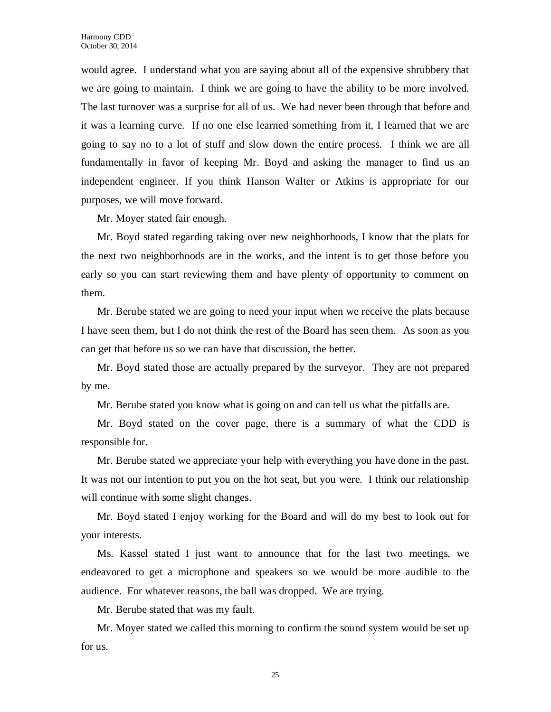would agree. I understand what you are saying about all of the expensive shrubbery that we are going to maintain. I think we are going to have the ability to be more involved. The last turnover was a surprise for all of us. We had never been through that before and it was a learning curve. If no one else learned something from it, I learned that we are going to say no to a lot of stuff and slow down the entire process. I think we are all fundamentally in favor of keeping Mr. Boyd and asking the manager to find us an independent engineer. If you think Hanson Walter or Atkins is appropriate for our purposes, we will move forward.

Mr. Moyer stated fair enough.

Mr. Boyd stated regarding taking over new neighborhoods, I know that the plats for the next two neighborhoods are in the works, and the intent is to get those before you early so you can start reviewing them and have plenty of opportunity to comment on them.

Mr. Berube stated we are going to need your input when we receive the plats because I have seen them, but I do not think the rest of the Board has seen them. As soon as you can get that before us so we can have that discussion, the better.

Mr. Boyd stated those are actually prepared by the surveyor. They are not prepared by me.

Mr. Berube stated you know what is going on and can tell us what the pitfalls are.

Mr. Boyd stated on the cover page, there is a summary of what the CDD is responsible for.

Mr. Berube stated we appreciate your help with everything you have done in the past. It was not our intention to put you on the hot seat, but you were. I think our relationship will continue with some slight changes.

Mr. Boyd stated I enjoy working for the Board and will do my best to look out for your interests.

Ms. Kassel stated I just want to announce that for the last two meetings, we endeavored to get a microphone and speakers so we would be more audible to the audience. For whatever reasons, the ball was dropped. We are trying.

Mr. Berube stated that was my fault.

Mr. Moyer stated we called this morning to confirm the sound system would be set up for us.

25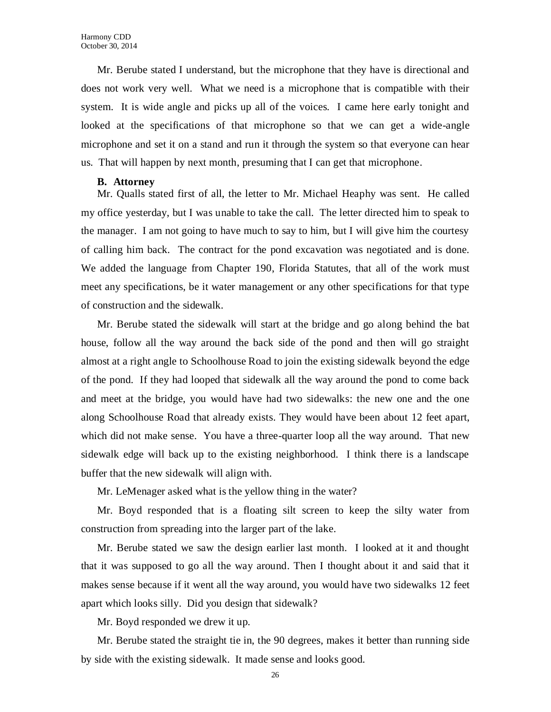Mr. Berube stated I understand, but the microphone that they have is directional and does not work very well. What we need is a microphone that is compatible with their system. It is wide angle and picks up all of the voices. I came here early tonight and looked at the specifications of that microphone so that we can get a wide-angle microphone and set it on a stand and run it through the system so that everyone can hear us. That will happen by next month, presuming that I can get that microphone.

#### **B. Attorney**

Mr. Qualls stated first of all, the letter to Mr. Michael Heaphy was sent. He called my office yesterday, but I was unable to take the call. The letter directed him to speak to the manager. I am not going to have much to say to him, but I will give him the courtesy of calling him back. The contract for the pond excavation was negotiated and is done. We added the language from Chapter 190, Florida Statutes, that all of the work must meet any specifications, be it water management or any other specifications for that type of construction and the sidewalk.

Mr. Berube stated the sidewalk will start at the bridge and go along behind the bat house, follow all the way around the back side of the pond and then will go straight almost at a right angle to Schoolhouse Road to join the existing sidewalk beyond the edge of the pond. If they had looped that sidewalk all the way around the pond to come back and meet at the bridge, you would have had two sidewalks: the new one and the one along Schoolhouse Road that already exists. They would have been about 12 feet apart, which did not make sense. You have a three-quarter loop all the way around. That new sidewalk edge will back up to the existing neighborhood. I think there is a landscape buffer that the new sidewalk will align with.

Mr. LeMenager asked what is the yellow thing in the water?

Mr. Boyd responded that is a floating silt screen to keep the silty water from construction from spreading into the larger part of the lake.

Mr. Berube stated we saw the design earlier last month. I looked at it and thought that it was supposed to go all the way around. Then I thought about it and said that it makes sense because if it went all the way around, you would have two sidewalks 12 feet apart which looks silly. Did you design that sidewalk?

Mr. Boyd responded we drew it up.

Mr. Berube stated the straight tie in, the 90 degrees, makes it better than running side by side with the existing sidewalk. It made sense and looks good.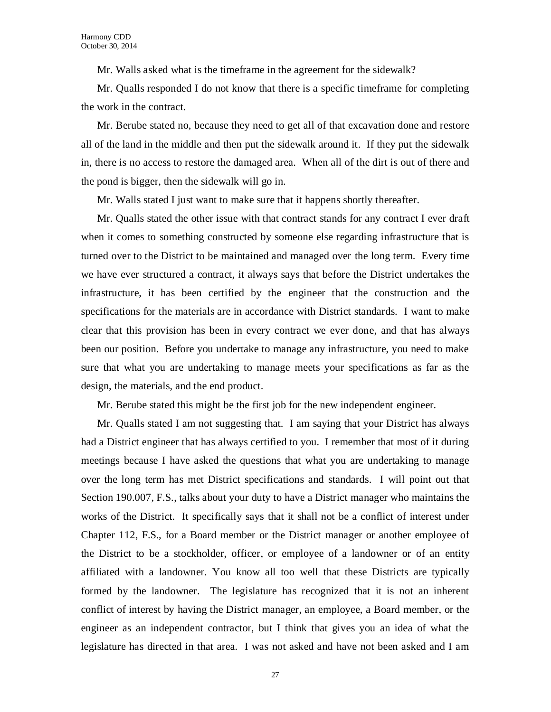Mr. Walls asked what is the timeframe in the agreement for the sidewalk?

Mr. Qualls responded I do not know that there is a specific timeframe for completing the work in the contract.

Mr. Berube stated no, because they need to get all of that excavation done and restore all of the land in the middle and then put the sidewalk around it. If they put the sidewalk in, there is no access to restore the damaged area. When all of the dirt is out of there and the pond is bigger, then the sidewalk will go in.

Mr. Walls stated I just want to make sure that it happens shortly thereafter.

Mr. Qualls stated the other issue with that contract stands for any contract I ever draft when it comes to something constructed by someone else regarding infrastructure that is turned over to the District to be maintained and managed over the long term. Every time we have ever structured a contract, it always says that before the District undertakes the infrastructure, it has been certified by the engineer that the construction and the specifications for the materials are in accordance with District standards. I want to make clear that this provision has been in every contract we ever done, and that has always been our position. Before you undertake to manage any infrastructure, you need to make sure that what you are undertaking to manage meets your specifications as far as the design, the materials, and the end product.

Mr. Berube stated this might be the first job for the new independent engineer.

Mr. Qualls stated I am not suggesting that. I am saying that your District has always had a District engineer that has always certified to you. I remember that most of it during meetings because I have asked the questions that what you are undertaking to manage over the long term has met District specifications and standards. I will point out that Section 190.007, F.S., talks about your duty to have a District manager who maintains the works of the District. It specifically says that it shall not be a conflict of interest under Chapter 112, F.S., for a Board member or the District manager or another employee of the District to be a stockholder, officer, or employee of a landowner or of an entity affiliated with a landowner. You know all too well that these Districts are typically formed by the landowner. The legislature has recognized that it is not an inherent conflict of interest by having the District manager, an employee, a Board member, or the engineer as an independent contractor, but I think that gives you an idea of what the legislature has directed in that area. I was not asked and have not been asked and I am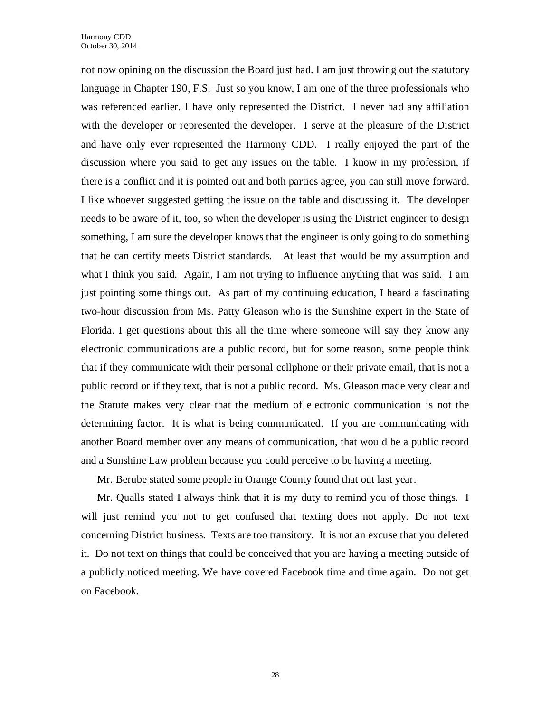not now opining on the discussion the Board just had. I am just throwing out the statutory language in Chapter 190, F.S. Just so you know, I am one of the three professionals who was referenced earlier. I have only represented the District. I never had any affiliation with the developer or represented the developer. I serve at the pleasure of the District and have only ever represented the Harmony CDD. I really enjoyed the part of the discussion where you said to get any issues on the table. I know in my profession, if there is a conflict and it is pointed out and both parties agree, you can still move forward. I like whoever suggested getting the issue on the table and discussing it. The developer needs to be aware of it, too, so when the developer is using the District engineer to design something, I am sure the developer knows that the engineer is only going to do something that he can certify meets District standards. At least that would be my assumption and what I think you said. Again, I am not trying to influence anything that was said. I am just pointing some things out. As part of my continuing education, I heard a fascinating two-hour discussion from Ms. Patty Gleason who is the Sunshine expert in the State of Florida. I get questions about this all the time where someone will say they know any electronic communications are a public record, but for some reason, some people think that if they communicate with their personal cellphone or their private email, that is not a public record or if they text, that is not a public record. Ms. Gleason made very clear and the Statute makes very clear that the medium of electronic communication is not the determining factor. It is what is being communicated. If you are communicating with another Board member over any means of communication, that would be a public record and a Sunshine Law problem because you could perceive to be having a meeting.

Mr. Berube stated some people in Orange County found that out last year.

Mr. Qualls stated I always think that it is my duty to remind you of those things. I will just remind you not to get confused that texting does not apply. Do not text concerning District business. Texts are too transitory. It is not an excuse that you deleted it. Do not text on things that could be conceived that you are having a meeting outside of a publicly noticed meeting. We have covered Facebook time and time again. Do not get on Facebook.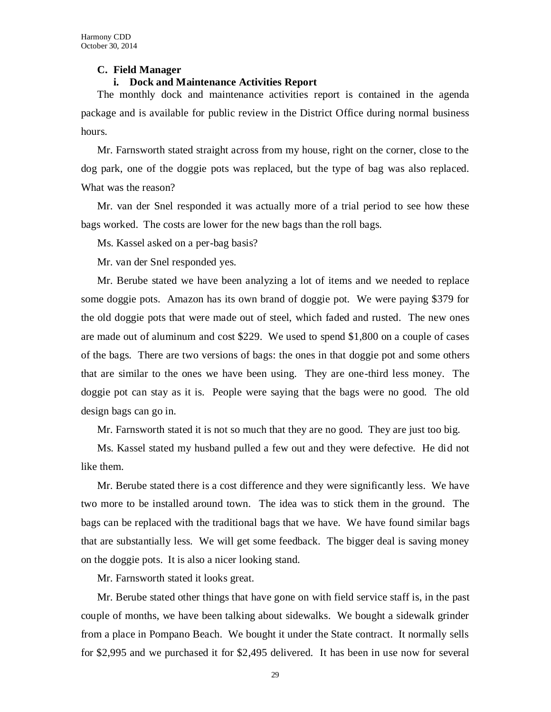#### **C. Field Manager**

### **i. Dock and Maintenance Activities Report**

The monthly dock and maintenance activities report is contained in the agenda package and is available for public review in the District Office during normal business hours.

Mr. Farnsworth stated straight across from my house, right on the corner, close to the dog park, one of the doggie pots was replaced, but the type of bag was also replaced. What was the reason?

Mr. van der Snel responded it was actually more of a trial period to see how these bags worked. The costs are lower for the new bags than the roll bags.

Ms. Kassel asked on a per-bag basis?

Mr. van der Snel responded yes.

Mr. Berube stated we have been analyzing a lot of items and we needed to replace some doggie pots. Amazon has its own brand of doggie pot. We were paying \$379 for the old doggie pots that were made out of steel, which faded and rusted. The new ones are made out of aluminum and cost \$229. We used to spend \$1,800 on a couple of cases of the bags. There are two versions of bags: the ones in that doggie pot and some others that are similar to the ones we have been using. They are one-third less money. The doggie pot can stay as it is. People were saying that the bags were no good. The old design bags can go in.

Mr. Farnsworth stated it is not so much that they are no good. They are just too big.

Ms. Kassel stated my husband pulled a few out and they were defective. He did not like them.

Mr. Berube stated there is a cost difference and they were significantly less. We have two more to be installed around town. The idea was to stick them in the ground. The bags can be replaced with the traditional bags that we have. We have found similar bags that are substantially less. We will get some feedback. The bigger deal is saving money on the doggie pots. It is also a nicer looking stand.

Mr. Farnsworth stated it looks great.

Mr. Berube stated other things that have gone on with field service staff is, in the past couple of months, we have been talking about sidewalks. We bought a sidewalk grinder from a place in Pompano Beach. We bought it under the State contract. It normally sells for \$2,995 and we purchased it for \$2,495 delivered. It has been in use now for several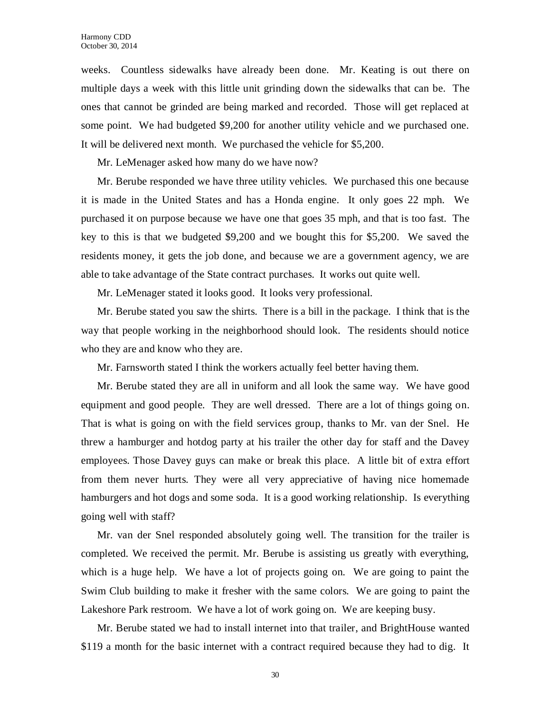weeks. Countless sidewalks have already been done. Mr. Keating is out there on multiple days a week with this little unit grinding down the sidewalks that can be. The ones that cannot be grinded are being marked and recorded. Those will get replaced at some point. We had budgeted \$9,200 for another utility vehicle and we purchased one. It will be delivered next month. We purchased the vehicle for \$5,200.

Mr. LeMenager asked how many do we have now?

Mr. Berube responded we have three utility vehicles. We purchased this one because it is made in the United States and has a Honda engine. It only goes 22 mph. We purchased it on purpose because we have one that goes 35 mph, and that is too fast. The key to this is that we budgeted \$9,200 and we bought this for \$5,200. We saved the residents money, it gets the job done, and because we are a government agency, we are able to take advantage of the State contract purchases. It works out quite well.

Mr. LeMenager stated it looks good. It looks very professional.

Mr. Berube stated you saw the shirts. There is a bill in the package. I think that is the way that people working in the neighborhood should look. The residents should notice who they are and know who they are.

Mr. Farnsworth stated I think the workers actually feel better having them.

Mr. Berube stated they are all in uniform and all look the same way. We have good equipment and good people. They are well dressed. There are a lot of things going on. That is what is going on with the field services group, thanks to Mr. van der Snel. He threw a hamburger and hotdog party at his trailer the other day for staff and the Davey employees. Those Davey guys can make or break this place. A little bit of extra effort from them never hurts. They were all very appreciative of having nice homemade hamburgers and hot dogs and some soda. It is a good working relationship. Is everything going well with staff?

Mr. van der Snel responded absolutely going well. The transition for the trailer is completed. We received the permit. Mr. Berube is assisting us greatly with everything, which is a huge help. We have a lot of projects going on. We are going to paint the Swim Club building to make it fresher with the same colors. We are going to paint the Lakeshore Park restroom. We have a lot of work going on. We are keeping busy.

Mr. Berube stated we had to install internet into that trailer, and BrightHouse wanted \$119 a month for the basic internet with a contract required because they had to dig. It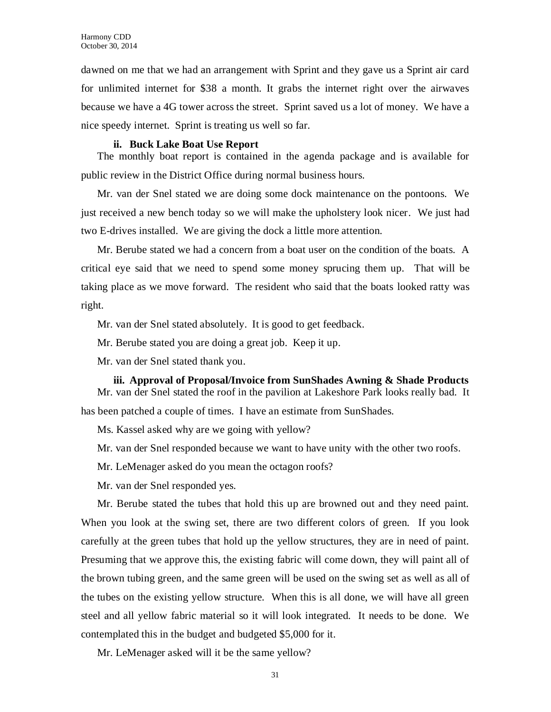dawned on me that we had an arrangement with Sprint and they gave us a Sprint air card for unlimited internet for \$38 a month. It grabs the internet right over the airwaves because we have a 4G tower across the street. Sprint saved us a lot of money. We have a nice speedy internet. Sprint is treating us well so far.

#### **ii. Buck Lake Boat Use Report**

The monthly boat report is contained in the agenda package and is available for public review in the District Office during normal business hours.

Mr. van der Snel stated we are doing some dock maintenance on the pontoons. We just received a new bench today so we will make the upholstery look nicer. We just had two E-drives installed. We are giving the dock a little more attention.

Mr. Berube stated we had a concern from a boat user on the condition of the boats. A critical eye said that we need to spend some money sprucing them up. That will be taking place as we move forward. The resident who said that the boats looked ratty was right.

Mr. van der Snel stated absolutely. It is good to get feedback.

Mr. Berube stated you are doing a great job. Keep it up.

Mr. van der Snel stated thank you.

**iii. Approval of Proposal/Invoice from SunShades Awning & Shade Products** Mr. van der Snel stated the roof in the pavilion at Lakeshore Park looks really bad. It

has been patched a couple of times. I have an estimate from SunShades.

Ms. Kassel asked why are we going with yellow?

Mr. van der Snel responded because we want to have unity with the other two roofs.

Mr. LeMenager asked do you mean the octagon roofs?

Mr. van der Snel responded yes.

Mr. Berube stated the tubes that hold this up are browned out and they need paint. When you look at the swing set, there are two different colors of green. If you look carefully at the green tubes that hold up the yellow structures, they are in need of paint. Presuming that we approve this, the existing fabric will come down, they will paint all of the brown tubing green, and the same green will be used on the swing set as well as all of the tubes on the existing yellow structure. When this is all done, we will have all green steel and all yellow fabric material so it will look integrated. It needs to be done. We contemplated this in the budget and budgeted \$5,000 for it.

Mr. LeMenager asked will it be the same yellow?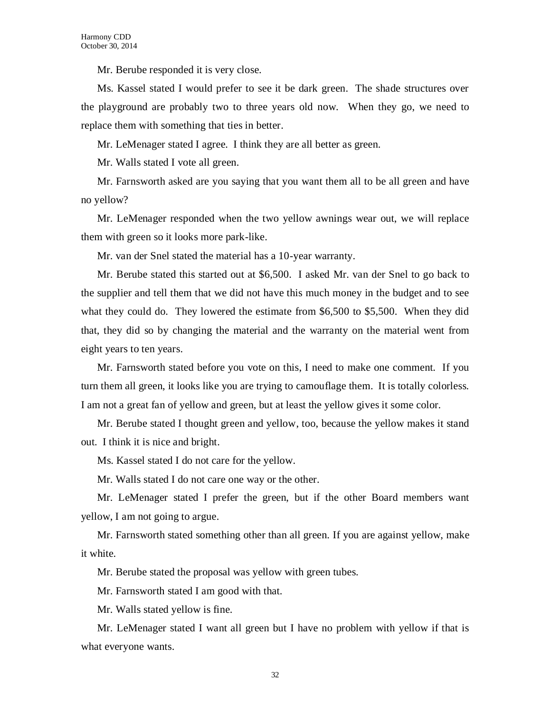Mr. Berube responded it is very close.

Ms. Kassel stated I would prefer to see it be dark green. The shade structures over the playground are probably two to three years old now. When they go, we need to replace them with something that ties in better.

Mr. LeMenager stated I agree. I think they are all better as green.

Mr. Walls stated I vote all green.

Mr. Farnsworth asked are you saying that you want them all to be all green and have no yellow?

Mr. LeMenager responded when the two yellow awnings wear out, we will replace them with green so it looks more park-like.

Mr. van der Snel stated the material has a 10-year warranty.

Mr. Berube stated this started out at \$6,500. I asked Mr. van der Snel to go back to the supplier and tell them that we did not have this much money in the budget and to see what they could do. They lowered the estimate from \$6,500 to \$5,500. When they did that, they did so by changing the material and the warranty on the material went from eight years to ten years.

Mr. Farnsworth stated before you vote on this, I need to make one comment. If you turn them all green, it looks like you are trying to camouflage them. It is totally colorless. I am not a great fan of yellow and green, but at least the yellow gives it some color.

Mr. Berube stated I thought green and yellow, too, because the yellow makes it stand out. I think it is nice and bright.

Ms. Kassel stated I do not care for the yellow.

Mr. Walls stated I do not care one way or the other.

Mr. LeMenager stated I prefer the green, but if the other Board members want yellow, I am not going to argue.

Mr. Farnsworth stated something other than all green. If you are against yellow, make it white.

Mr. Berube stated the proposal was yellow with green tubes.

Mr. Farnsworth stated I am good with that.

Mr. Walls stated yellow is fine.

Mr. LeMenager stated I want all green but I have no problem with yellow if that is what everyone wants.

32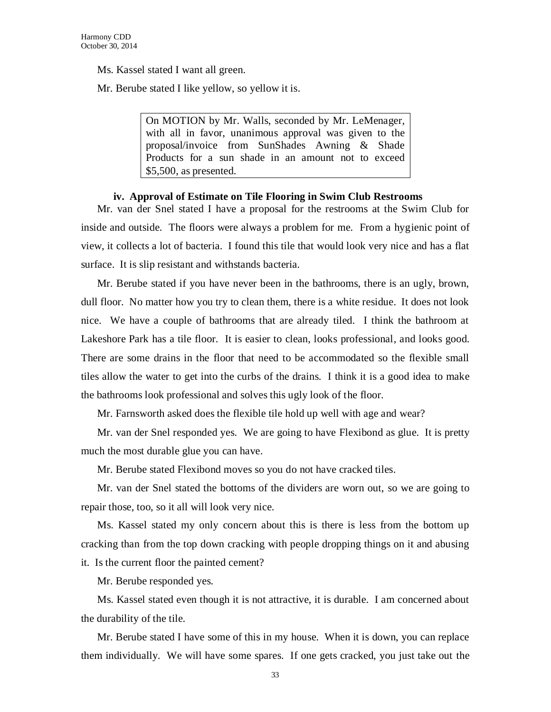Ms. Kassel stated I want all green.

Mr. Berube stated I like yellow, so yellow it is.

On MOTION by Mr. Walls, seconded by Mr. LeMenager, with all in favor, unanimous approval was given to the proposal/invoice from SunShades Awning & Shade Products for a sun shade in an amount not to exceed \$5,500, as presented.

#### **iv. Approval of Estimate on Tile Flooring in Swim Club Restrooms**

Mr. van der Snel stated I have a proposal for the restrooms at the Swim Club for inside and outside. The floors were always a problem for me. From a hygienic point of view, it collects a lot of bacteria. I found this tile that would look very nice and has a flat surface. It is slip resistant and withstands bacteria.

Mr. Berube stated if you have never been in the bathrooms, there is an ugly, brown, dull floor. No matter how you try to clean them, there is a white residue. It does not look nice. We have a couple of bathrooms that are already tiled. I think the bathroom at Lakeshore Park has a tile floor. It is easier to clean, looks professional, and looks good. There are some drains in the floor that need to be accommodated so the flexible small tiles allow the water to get into the curbs of the drains. I think it is a good idea to make the bathrooms look professional and solves this ugly look of the floor.

Mr. Farnsworth asked does the flexible tile hold up well with age and wear?

Mr. van der Snel responded yes. We are going to have Flexibond as glue. It is pretty much the most durable glue you can have.

Mr. Berube stated Flexibond moves so you do not have cracked tiles.

Mr. van der Snel stated the bottoms of the dividers are worn out, so we are going to repair those, too, so it all will look very nice.

Ms. Kassel stated my only concern about this is there is less from the bottom up cracking than from the top down cracking with people dropping things on it and abusing it. Is the current floor the painted cement?

Mr. Berube responded yes.

Ms. Kassel stated even though it is not attractive, it is durable. I am concerned about the durability of the tile.

Mr. Berube stated I have some of this in my house. When it is down, you can replace them individually. We will have some spares. If one gets cracked, you just take out the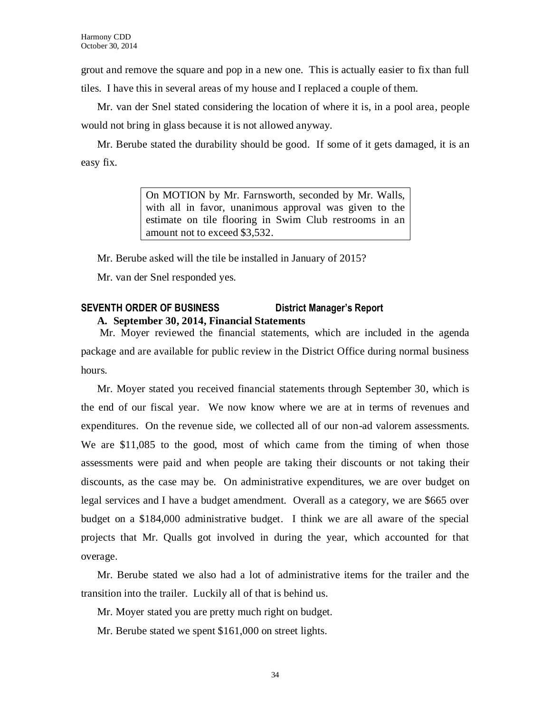grout and remove the square and pop in a new one. This is actually easier to fix than full tiles. I have this in several areas of my house and I replaced a couple of them.

Mr. van der Snel stated considering the location of where it is, in a pool area, people would not bring in glass because it is not allowed anyway.

Mr. Berube stated the durability should be good. If some of it gets damaged, it is an easy fix.

> On MOTION by Mr. Farnsworth, seconded by Mr. Walls, with all in favor, unanimous approval was given to the estimate on tile flooring in Swim Club restrooms in an amount not to exceed \$3,532.

Mr. Berube asked will the tile be installed in January of 2015?

Mr. van der Snel responded yes.

## **SEVENTH ORDER OF BUSINESS District Manager's Report A. September 30, 2014, Financial Statements**

Mr. Moyer reviewed the financial statements, which are included in the agenda package and are available for public review in the District Office during normal business hours.

Mr. Moyer stated you received financial statements through September 30, which is the end of our fiscal year. We now know where we are at in terms of revenues and expenditures. On the revenue side, we collected all of our non-ad valorem assessments. We are \$11,085 to the good, most of which came from the timing of when those assessments were paid and when people are taking their discounts or not taking their discounts, as the case may be. On administrative expenditures, we are over budget on legal services and I have a budget amendment. Overall as a category, we are \$665 over budget on a \$184,000 administrative budget. I think we are all aware of the special projects that Mr. Qualls got involved in during the year, which accounted for that overage.

Mr. Berube stated we also had a lot of administrative items for the trailer and the transition into the trailer. Luckily all of that is behind us.

Mr. Moyer stated you are pretty much right on budget.

Mr. Berube stated we spent \$161,000 on street lights.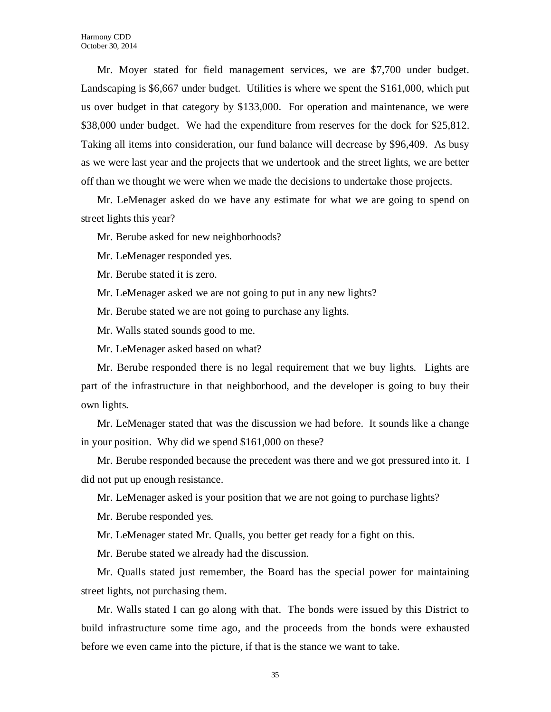Mr. Moyer stated for field management services, we are \$7,700 under budget. Landscaping is \$6,667 under budget. Utilities is where we spent the \$161,000, which put us over budget in that category by \$133,000. For operation and maintenance, we were \$38,000 under budget. We had the expenditure from reserves for the dock for \$25,812. Taking all items into consideration, our fund balance will decrease by \$96,409. As busy as we were last year and the projects that we undertook and the street lights, we are better off than we thought we were when we made the decisions to undertake those projects.

Mr. LeMenager asked do we have any estimate for what we are going to spend on street lights this year?

Mr. Berube asked for new neighborhoods?

Mr. LeMenager responded yes.

Mr. Berube stated it is zero.

Mr. LeMenager asked we are not going to put in any new lights?

Mr. Berube stated we are not going to purchase any lights.

Mr. Walls stated sounds good to me.

Mr. LeMenager asked based on what?

Mr. Berube responded there is no legal requirement that we buy lights. Lights are part of the infrastructure in that neighborhood, and the developer is going to buy their own lights.

Mr. LeMenager stated that was the discussion we had before. It sounds like a change in your position. Why did we spend \$161,000 on these?

Mr. Berube responded because the precedent was there and we got pressured into it. I did not put up enough resistance.

Mr. LeMenager asked is your position that we are not going to purchase lights?

Mr. Berube responded yes.

Mr. LeMenager stated Mr. Qualls, you better get ready for a fight on this.

Mr. Berube stated we already had the discussion.

Mr. Qualls stated just remember, the Board has the special power for maintaining street lights, not purchasing them.

Mr. Walls stated I can go along with that. The bonds were issued by this District to build infrastructure some time ago, and the proceeds from the bonds were exhausted before we even came into the picture, if that is the stance we want to take.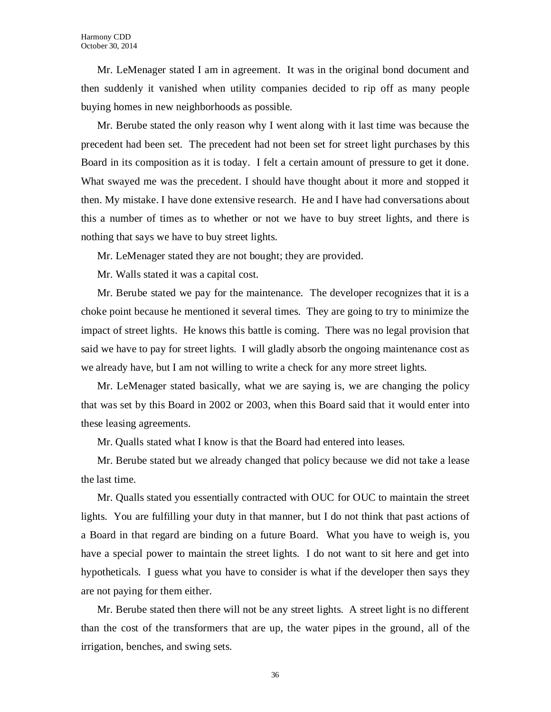Mr. LeMenager stated I am in agreement. It was in the original bond document and then suddenly it vanished when utility companies decided to rip off as many people buying homes in new neighborhoods as possible.

Mr. Berube stated the only reason why I went along with it last time was because the precedent had been set. The precedent had not been set for street light purchases by this Board in its composition as it is today. I felt a certain amount of pressure to get it done. What swayed me was the precedent. I should have thought about it more and stopped it then. My mistake. I have done extensive research. He and I have had conversations about this a number of times as to whether or not we have to buy street lights, and there is nothing that says we have to buy street lights.

Mr. LeMenager stated they are not bought; they are provided.

Mr. Walls stated it was a capital cost.

Mr. Berube stated we pay for the maintenance. The developer recognizes that it is a choke point because he mentioned it several times. They are going to try to minimize the impact of street lights. He knows this battle is coming. There was no legal provision that said we have to pay for street lights. I will gladly absorb the ongoing maintenance cost as we already have, but I am not willing to write a check for any more street lights.

Mr. LeMenager stated basically, what we are saying is, we are changing the policy that was set by this Board in 2002 or 2003, when this Board said that it would enter into these leasing agreements.

Mr. Qualls stated what I know is that the Board had entered into leases.

Mr. Berube stated but we already changed that policy because we did not take a lease the last time.

Mr. Qualls stated you essentially contracted with OUC for OUC to maintain the street lights. You are fulfilling your duty in that manner, but I do not think that past actions of a Board in that regard are binding on a future Board. What you have to weigh is, you have a special power to maintain the street lights. I do not want to sit here and get into hypotheticals. I guess what you have to consider is what if the developer then says they are not paying for them either.

Mr. Berube stated then there will not be any street lights. A street light is no different than the cost of the transformers that are up, the water pipes in the ground, all of the irrigation, benches, and swing sets.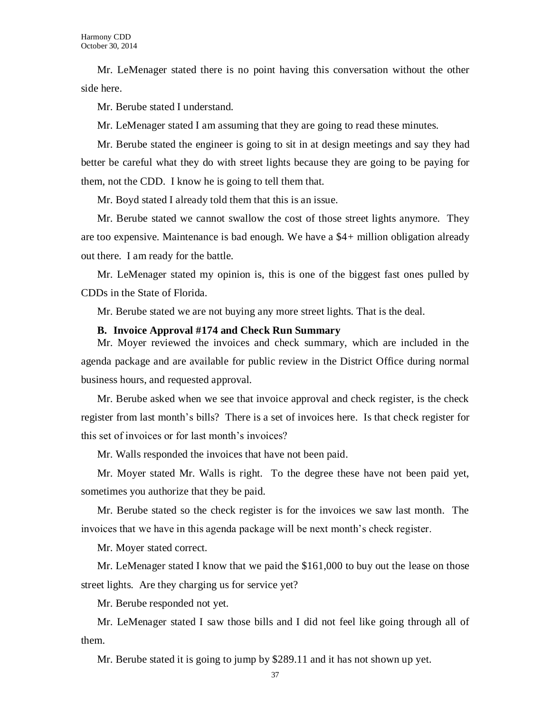Mr. LeMenager stated there is no point having this conversation without the other side here.

Mr. Berube stated I understand.

Mr. LeMenager stated I am assuming that they are going to read these minutes.

Mr. Berube stated the engineer is going to sit in at design meetings and say they had better be careful what they do with street lights because they are going to be paying for them, not the CDD. I know he is going to tell them that.

Mr. Boyd stated I already told them that this is an issue.

Mr. Berube stated we cannot swallow the cost of those street lights anymore. They are too expensive. Maintenance is bad enough. We have a \$4+ million obligation already out there. I am ready for the battle.

Mr. LeMenager stated my opinion is, this is one of the biggest fast ones pulled by CDDs in the State of Florida.

Mr. Berube stated we are not buying any more street lights. That is the deal.

#### **B. Invoice Approval #174 and Check Run Summary**

Mr. Moyer reviewed the invoices and check summary, which are included in the agenda package and are available for public review in the District Office during normal business hours, and requested approval.

Mr. Berube asked when we see that invoice approval and check register, is the check register from last month's bills? There is a set of invoices here. Is that check register for this set of invoices or for last month's invoices?

Mr. Walls responded the invoices that have not been paid.

Mr. Moyer stated Mr. Walls is right. To the degree these have not been paid yet, sometimes you authorize that they be paid.

Mr. Berube stated so the check register is for the invoices we saw last month. The invoices that we have in this agenda package will be next month's check register.

Mr. Moyer stated correct.

Mr. LeMenager stated I know that we paid the \$161,000 to buy out the lease on those street lights. Are they charging us for service yet?

Mr. Berube responded not yet.

Mr. LeMenager stated I saw those bills and I did not feel like going through all of them.

Mr. Berube stated it is going to jump by \$289.11 and it has not shown up yet.

37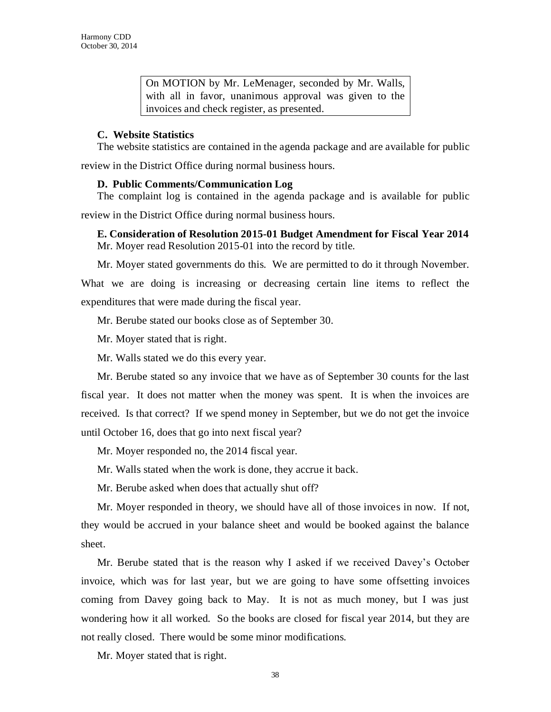On MOTION by Mr. LeMenager, seconded by Mr. Walls, with all in favor, unanimous approval was given to the invoices and check register, as presented.

### **C. Website Statistics**

The website statistics are contained in the agenda package and are available for public

review in the District Office during normal business hours.

## **D. Public Comments/Communication Log**

The complaint log is contained in the agenda package and is available for public review in the District Office during normal business hours.

## **E. Consideration of Resolution 2015-01 Budget Amendment for Fiscal Year 2014** Mr. Moyer read Resolution 2015-01 into the record by title.

Mr. Moyer stated governments do this. We are permitted to do it through November. What we are doing is increasing or decreasing certain line items to reflect the expenditures that were made during the fiscal year.

Mr. Berube stated our books close as of September 30.

Mr. Moyer stated that is right.

Mr. Walls stated we do this every year.

Mr. Berube stated so any invoice that we have as of September 30 counts for the last fiscal year. It does not matter when the money was spent. It is when the invoices are received. Is that correct? If we spend money in September, but we do not get the invoice until October 16, does that go into next fiscal year?

Mr. Moyer responded no, the 2014 fiscal year.

Mr. Walls stated when the work is done, they accrue it back.

Mr. Berube asked when does that actually shut off?

Mr. Moyer responded in theory, we should have all of those invoices in now. If not, they would be accrued in your balance sheet and would be booked against the balance sheet.

Mr. Berube stated that is the reason why I asked if we received Davey's October invoice, which was for last year, but we are going to have some offsetting invoices coming from Davey going back to May. It is not as much money, but I was just wondering how it all worked. So the books are closed for fiscal year 2014, but they are not really closed. There would be some minor modifications.

Mr. Moyer stated that is right.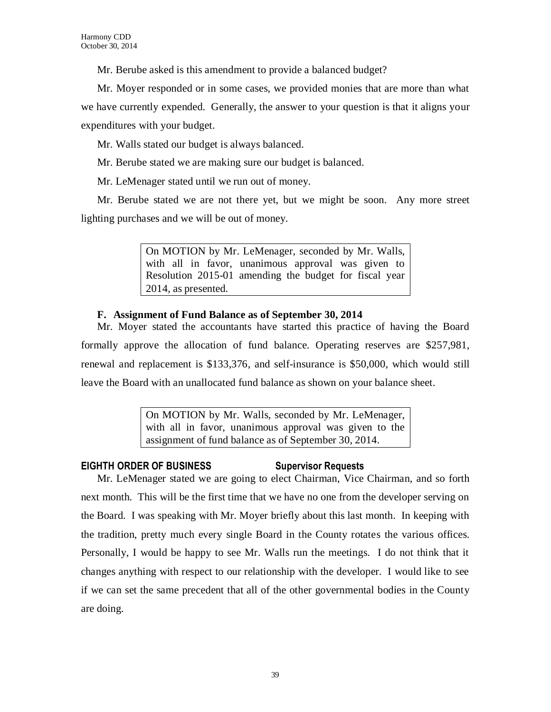Mr. Berube asked is this amendment to provide a balanced budget?

Mr. Moyer responded or in some cases, we provided monies that are more than what we have currently expended. Generally, the answer to your question is that it aligns your expenditures with your budget.

Mr. Walls stated our budget is always balanced.

Mr. Berube stated we are making sure our budget is balanced.

Mr. LeMenager stated until we run out of money.

Mr. Berube stated we are not there yet, but we might be soon. Any more street lighting purchases and we will be out of money.

> On MOTION by Mr. LeMenager, seconded by Mr. Walls, with all in favor, unanimous approval was given to Resolution 2015-01 amending the budget for fiscal year 2014, as presented.

## **F. Assignment of Fund Balance as of September 30, 2014**

Mr. Moyer stated the accountants have started this practice of having the Board formally approve the allocation of fund balance. Operating reserves are \$257,981, renewal and replacement is \$133,376, and self-insurance is \$50,000, which would still leave the Board with an unallocated fund balance as shown on your balance sheet.

> On MOTION by Mr. Walls, seconded by Mr. LeMenager, with all in favor, unanimous approval was given to the assignment of fund balance as of September 30, 2014.

## **EIGHTH ORDER OF BUSINESS Supervisor Requests**

Mr. LeMenager stated we are going to elect Chairman, Vice Chairman, and so forth next month. This will be the first time that we have no one from the developer serving on the Board. I was speaking with Mr. Moyer briefly about this last month. In keeping with the tradition, pretty much every single Board in the County rotates the various offices. Personally, I would be happy to see Mr. Walls run the meetings. I do not think that it changes anything with respect to our relationship with the developer. I would like to see if we can set the same precedent that all of the other governmental bodies in the County are doing.